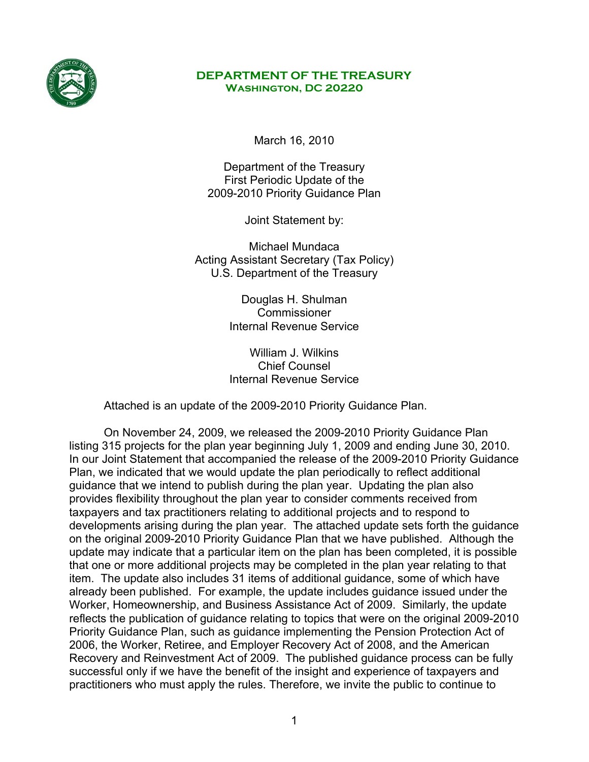

#### **DEPARTMENT OF THE TREASURY Washington, DC 20220**

March 16, 2010

Department of the Treasury First Periodic Update of the 2009-2010 Priority Guidance Plan

Joint Statement by:

Michael Mundaca Acting Assistant Secretary (Tax Policy) U.S. Department of the Treasury

> Douglas H. Shulman **Commissioner** Internal Revenue Service

> William J. Wilkins Chief Counsel Internal Revenue Service

Attached is an update of the 2009-2010 Priority Guidance Plan.

On November 24, 2009, we released the 2009-2010 Priority Guidance Plan listing 315 projects for the plan year beginning July 1, 2009 and ending June 30, 2010. In our Joint Statement that accompanied the release of the 2009-2010 Priority Guidance Plan, we indicated that we would update the plan periodically to reflect additional guidance that we intend to publish during the plan year. Updating the plan also provides flexibility throughout the plan year to consider comments received from taxpayers and tax practitioners relating to additional projects and to respond to developments arising during the plan year. The attached update sets forth the guidance on the original 2009-2010 Priority Guidance Plan that we have published. Although the update may indicate that a particular item on the plan has been completed, it is possible that one or more additional projects may be completed in the plan year relating to that item. The update also includes 31 items of additional guidance, some of which have already been published. For example, the update includes guidance issued under the Worker, Homeownership, and Business Assistance Act of 2009. Similarly, the update reflects the publication of guidance relating to topics that were on the original 2009-2010 Priority Guidance Plan, such as guidance implementing the Pension Protection Act of 2006, the Worker, Retiree, and Employer Recovery Act of 2008, and the American Recovery and Reinvestment Act of 2009. The published guidance process can be fully successful only if we have the benefit of the insight and experience of taxpayers and practitioners who must apply the rules. Therefore, we invite the public to continue to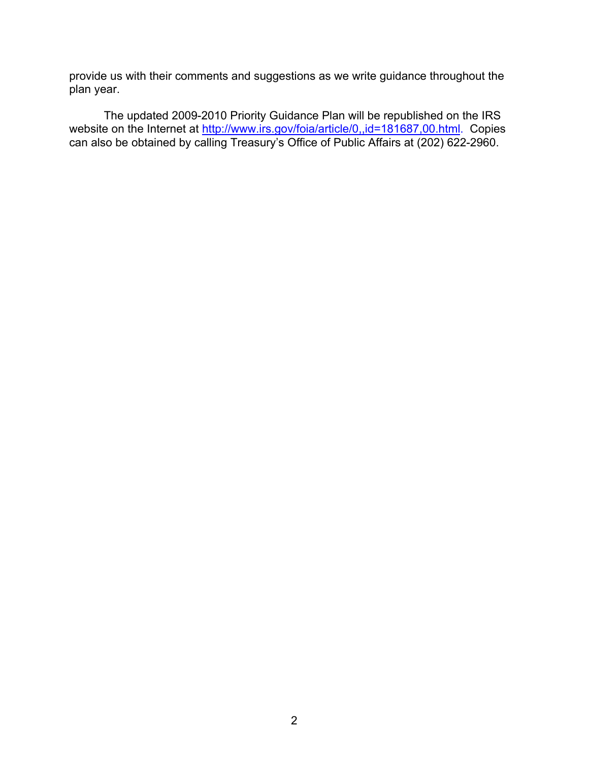provide us with their comments and suggestions as we write guidance throughout the plan year.

The updated 2009-2010 Priority Guidance Plan will be republished on the IRS website on the Internet at [http://www.irs.gov/foia/article/0,,id=181687,00.html.](http://www.irs.gov/foia/article/0,,id=181687,00.html) Copies can also be obtained by calling Treasury's Office of Public Affairs at (202) 622-2960.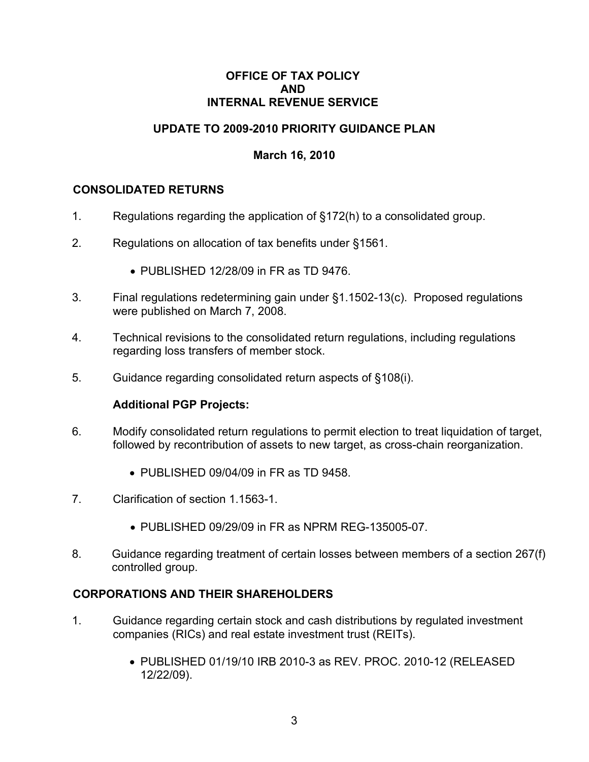#### **OFFICE OF TAX POLICY AND INTERNAL REVENUE SERVICE**

# **UPDATE TO 2009-2010 PRIORITY GUIDANCE PLAN**

## **March 16, 2010**

#### **CONSOLIDATED RETURNS**

- 1. Regulations regarding the application of §172(h) to a consolidated group.
- 2. Regulations on allocation of tax benefits under §1561.
	- PUBLISHED 12/28/09 in FR as TD 9476.
- 3. Final regulations redetermining gain under §1.1502-13(c). Proposed regulations were published on March 7, 2008.
- 4. Technical revisions to the consolidated return regulations, including regulations regarding loss transfers of member stock.
- 5. Guidance regarding consolidated return aspects of §108(i).

#### **Additional PGP Projects:**

- 6. Modify consolidated return regulations to permit election to treat liquidation of target, followed by recontribution of assets to new target, as cross-chain reorganization.
	- PUBLISHED 09/04/09 in FR as TD 9458
- 7. Clarification of section 1.1563-1.
	- PUBLISHED 09/29/09 in FR as NPRM REG-135005-07.
- 8. Guidance regarding treatment of certain losses between members of a section 267(f) controlled group.

#### **CORPORATIONS AND THEIR SHAREHOLDERS**

- 1. Guidance regarding certain stock and cash distributions by regulated investment companies (RICs) and real estate investment trust (REITs).
	- PUBLISHED 01/19/10 IRB 2010-3 as REV. PROC. 2010-12 (RELEASED 12/22/09).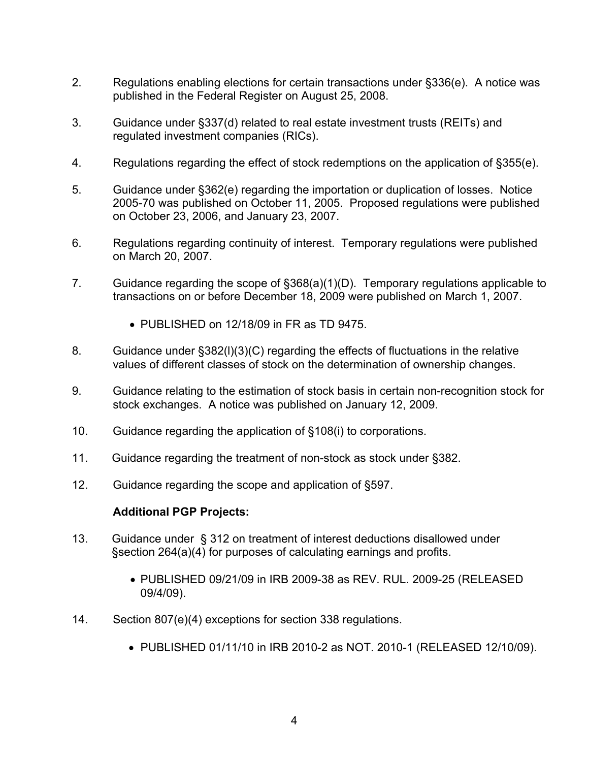- 2. Regulations enabling elections for certain transactions under §336(e). A notice was published in the Federal Register on August 25, 2008.
- 3. Guidance under §337(d) related to real estate investment trusts (REITs) and regulated investment companies (RICs).
- 4. Regulations regarding the effect of stock redemptions on the application of §355(e).
- 5. Guidance under §362(e) regarding the importation or duplication of losses. Notice 2005-70 was published on October 11, 2005. Proposed regulations were published on October 23, 2006, and January 23, 2007.
- 6. Regulations regarding continuity of interest. Temporary regulations were published on March 20, 2007.
- 7. Guidance regarding the scope of §368(a)(1)(D). Temporary regulations applicable to transactions on or before December 18, 2009 were published on March 1, 2007.
	- PUBLISHED on 12/18/09 in FR as TD 9475.
- 8. Guidance under §382(l)(3)(C) regarding the effects of fluctuations in the relative values of different classes of stock on the determination of ownership changes.
- 9. Guidance relating to the estimation of stock basis in certain non-recognition stock for stock exchanges. A notice was published on January 12, 2009.
- 10. Guidance regarding the application of §108(i) to corporations.
- 11. Guidance regarding the treatment of non-stock as stock under §382.
- 12. Guidance regarding the scope and application of §597.

- 13. Guidance under § 312 on treatment of interest deductions disallowed under §section 264(a)(4) for purposes of calculating earnings and profits.
	- PUBLISHED 09/21/09 in IRB 2009-38 as REV. RUL. 2009-25 (RELEASED 09/4/09).
- 14. Section 807(e)(4) exceptions for section 338 regulations.
	- PUBLISHED 01/11/10 in IRB 2010-2 as NOT. 2010-1 (RELEASED 12/10/09).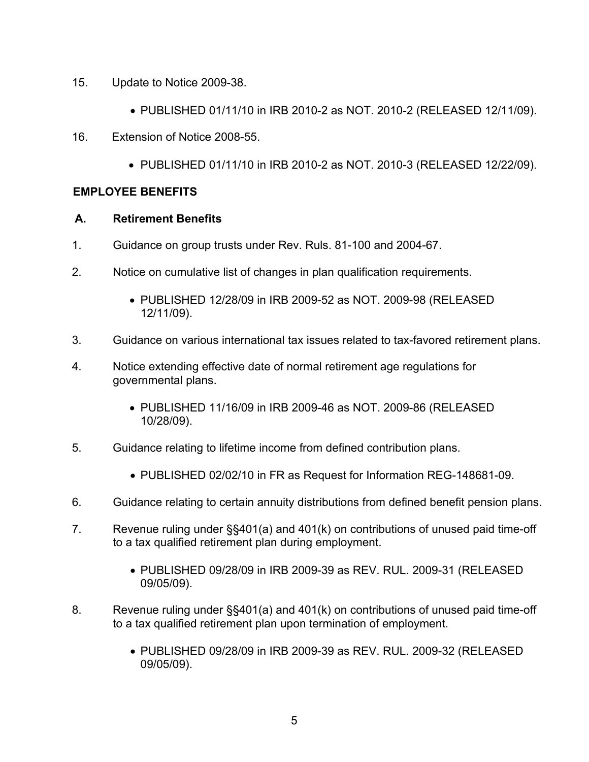- 15. Update to Notice 2009-38.
	- PUBLISHED 01/11/10 in IRB 2010-2 as NOT. 2010-2 (RELEASED 12/11/09).
- 16. Extension of Notice 2008-55.
	- PUBLISHED 01/11/10 in IRB 2010-2 as NOT. 2010-3 (RELEASED 12/22/09).

# **EMPLOYEE BENEFITS**

## **A. Retirement Benefits**

- 1. Guidance on group trusts under Rev. Ruls. 81-100 and 2004-67.
- 2. Notice on cumulative list of changes in plan qualification requirements.
	- PUBLISHED 12/28/09 in IRB 2009-52 as NOT. 2009-98 (RELEASED 12/11/09).
- 3. Guidance on various international tax issues related to tax-favored retirement plans.
- 4. Notice extending effective date of normal retirement age regulations for governmental plans.
	- PUBLISHED 11/16/09 in IRB 2009-46 as NOT. 2009-86 (RELEASED 10/28/09).
- 5. Guidance relating to lifetime income from defined contribution plans.
	- PUBLISHED 02/02/10 in FR as Request for Information REG-148681-09.
- 6. Guidance relating to certain annuity distributions from defined benefit pension plans.
- 7. Revenue ruling under §§401(a) and 401(k) on contributions of unused paid time-off to a tax qualified retirement plan during employment.
	- PUBLISHED 09/28/09 in IRB 2009-39 as REV. RUL. 2009-31 (RELEASED 09/05/09).
- 8. Revenue ruling under §§401(a) and 401(k) on contributions of unused paid time-off to a tax qualified retirement plan upon termination of employment.
	- PUBLISHED 09/28/09 in IRB 2009-39 as REV. RUL. 2009-32 (RELEASED 09/05/09).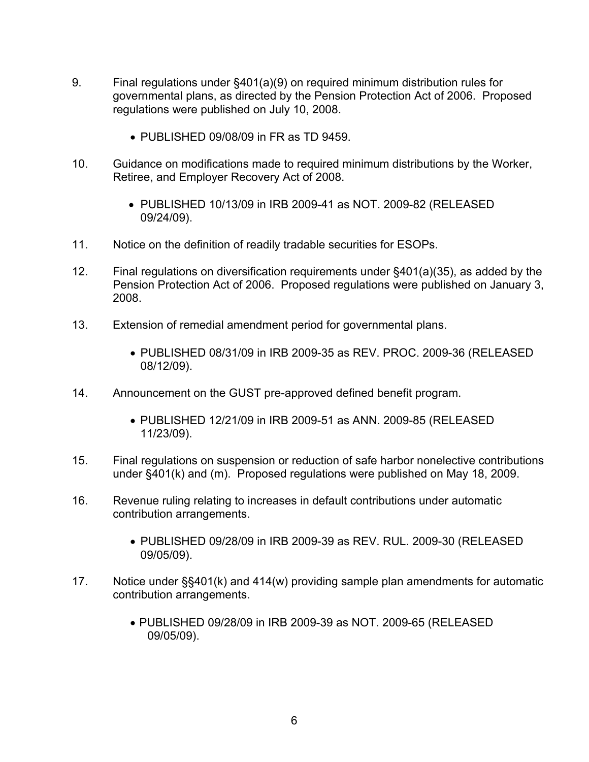- 9. Final regulations under §401(a)(9) on required minimum distribution rules for governmental plans, as directed by the Pension Protection Act of 2006. Proposed regulations were published on July 10, 2008.
	- PUBLISHED 09/08/09 in FR as TD 9459.
- 10. Guidance on modifications made to required minimum distributions by the Worker, Retiree, and Employer Recovery Act of 2008.
	- PUBLISHED 10/13/09 in IRB 2009-41 as NOT. 2009-82 (RELEASED 09/24/09).
- 11. Notice on the definition of readily tradable securities for ESOPs.
- 12. Final regulations on diversification requirements under §401(a)(35), as added by the Pension Protection Act of 2006. Proposed regulations were published on January 3, 2008.
- 13. Extension of remedial amendment period for governmental plans.
	- PUBLISHED 08/31/09 in IRB 2009-35 as REV. PROC. 2009-36 (RELEASED 08/12/09).
- 14. Announcement on the GUST pre-approved defined benefit program.
	- PUBLISHED 12/21/09 in IRB 2009-51 as ANN. 2009-85 (RELEASED 11/23/09).
- 15. Final regulations on suspension or reduction of safe harbor nonelective contributions under §401(k) and (m). Proposed regulations were published on May 18, 2009.
- 16. Revenue ruling relating to increases in default contributions under automatic contribution arrangements.
	- PUBLISHED 09/28/09 in IRB 2009-39 as REV. RUL. 2009-30 (RELEASED 09/05/09).
- 17. Notice under §§401(k) and 414(w) providing sample plan amendments for automatic contribution arrangements.
	- PUBLISHED 09/28/09 in IRB 2009-39 as NOT. 2009-65 (RELEASED 09/05/09).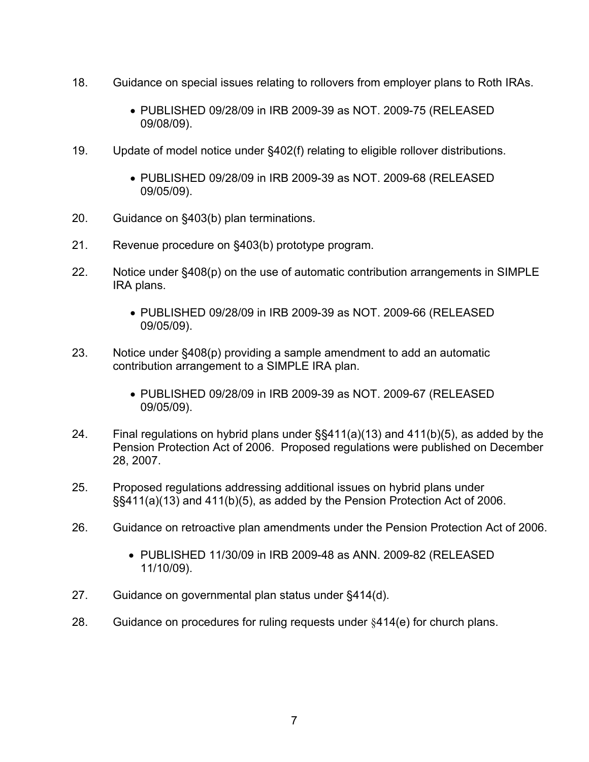- 18. Guidance on special issues relating to rollovers from employer plans to Roth IRAs.
	- PUBLISHED 09/28/09 in IRB 2009-39 as NOT. 2009-75 (RELEASED 09/08/09).
- 19. Update of model notice under §402(f) relating to eligible rollover distributions.
	- PUBLISHED 09/28/09 in IRB 2009-39 as NOT. 2009-68 (RELEASED 09/05/09).
- 20. Guidance on §403(b) plan terminations.
- 21. Revenue procedure on §403(b) prototype program.
- 22. Notice under §408(p) on the use of automatic contribution arrangements in SIMPLE IRA plans.
	- PUBLISHED 09/28/09 in IRB 2009-39 as NOT. 2009-66 (RELEASED 09/05/09).
- 23. Notice under §408(p) providing a sample amendment to add an automatic contribution arrangement to a SIMPLE IRA plan.
	- PUBLISHED 09/28/09 in IRB 2009-39 as NOT. 2009-67 (RELEASED 09/05/09).
- 24. Final regulations on hybrid plans under §§411(a)(13) and 411(b)(5), as added by the Pension Protection Act of 2006. Proposed regulations were published on December 28, 2007.
- 25. Proposed regulations addressing additional issues on hybrid plans under §§411(a)(13) and 411(b)(5), as added by the Pension Protection Act of 2006.
- 26. Guidance on retroactive plan amendments under the Pension Protection Act of 2006.
	- PUBLISHED 11/30/09 in IRB 2009-48 as ANN. 2009-82 (RELEASED 11/10/09).
- 27. Guidance on governmental plan status under §414(d).
- 28. Guidance on procedures for ruling requests under §414(e) for church plans.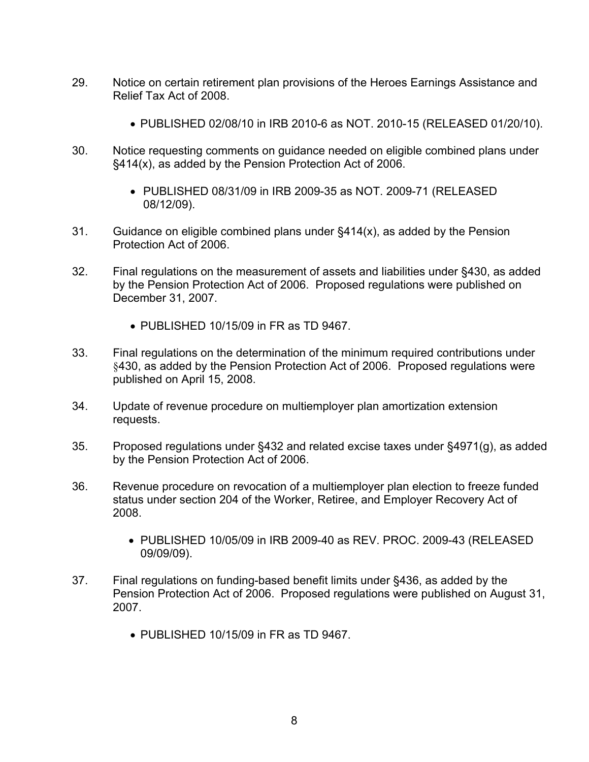- 29. Notice on certain retirement plan provisions of the Heroes Earnings Assistance and Relief Tax Act of 2008.
	- PUBLISHED 02/08/10 in IRB 2010-6 as NOT. 2010-15 (RELEASED 01/20/10).
- 30. Notice requesting comments on guidance needed on eligible combined plans under §414(x), as added by the Pension Protection Act of 2006.
	- PUBLISHED 08/31/09 in IRB 2009-35 as NOT. 2009-71 (RELEASED 08/12/09).
- 31. Guidance on eligible combined plans under §414(x), as added by the Pension Protection Act of 2006.
- 32. Final regulations on the measurement of assets and liabilities under §430, as added by the Pension Protection Act of 2006. Proposed regulations were published on December 31, 2007.
	- PUBLISHED 10/15/09 in FR as TD 9467.
- 33. Final regulations on the determination of the minimum required contributions under §430, as added by the Pension Protection Act of 2006. Proposed regulations were published on April 15, 2008.
- 34. Update of revenue procedure on multiemployer plan amortization extension requests.
- 35. Proposed regulations under §432 and related excise taxes under §4971(g), as added by the Pension Protection Act of 2006.
- 36. Revenue procedure on revocation of a multiemployer plan election to freeze funded status under section 204 of the Worker, Retiree, and Employer Recovery Act of 2008.
	- PUBLISHED 10/05/09 in IRB 2009-40 as REV. PROC. 2009-43 (RELEASED 09/09/09).
- 37. Final regulations on funding-based benefit limits under §436, as added by the Pension Protection Act of 2006. Proposed regulations were published on August 31, 2007.
	- PUBLISHED 10/15/09 in FR as TD 9467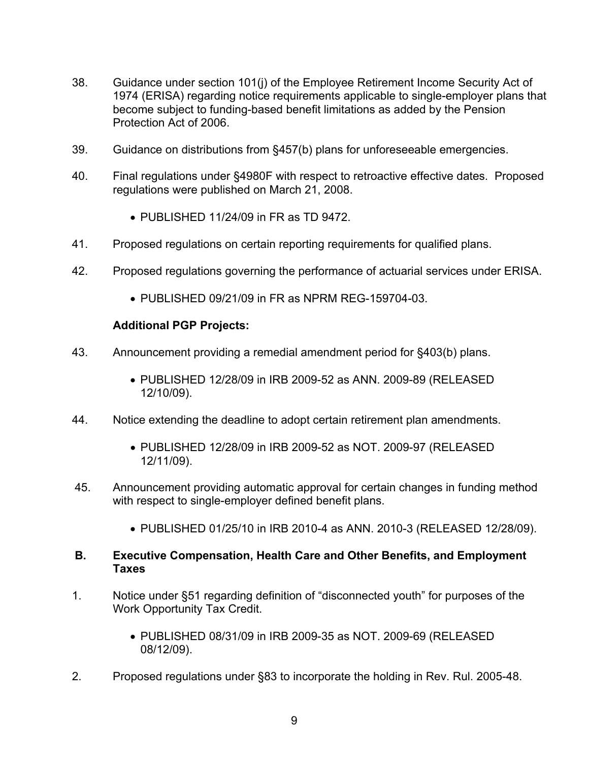- 38. Guidance under section 101(j) of the Employee Retirement Income Security Act of 1974 (ERISA) regarding notice requirements applicable to single-employer plans that become subject to funding-based benefit limitations as added by the Pension Protection Act of 2006.
- 39. Guidance on distributions from §457(b) plans for unforeseeable emergencies.
- 40. Final regulations under §4980F with respect to retroactive effective dates. Proposed regulations were published on March 21, 2008.
	- PUBLISHED 11/24/09 in FR as TD 9472.
- 41. Proposed regulations on certain reporting requirements for qualified plans.
- 42. Proposed regulations governing the performance of actuarial services under ERISA.
	- PUBLISHED 09/21/09 in FR as NPRM REG-159704-03.

- 43. Announcement providing a remedial amendment period for §403(b) plans.
	- PUBLISHED 12/28/09 in IRB 2009-52 as ANN. 2009-89 (RELEASED 12/10/09).
- 44. Notice extending the deadline to adopt certain retirement plan amendments.
	- PUBLISHED 12/28/09 in IRB 2009-52 as NOT. 2009-97 (RELEASED 12/11/09).
- 45. Announcement providing automatic approval for certain changes in funding method with respect to single-employer defined benefit plans.
	- PUBLISHED 01/25/10 in IRB 2010-4 as ANN. 2010-3 (RELEASED 12/28/09).
- **B. Executive Compensation, Health Care and Other Benefits, and Employment Taxes**
- 1. Notice under §51 regarding definition of "disconnected youth" for purposes of the Work Opportunity Tax Credit.
	- PUBLISHED 08/31/09 in IRB 2009-35 as NOT. 2009-69 (RELEASED 08/12/09).
- 2. Proposed regulations under §83 to incorporate the holding in Rev. Rul. 2005-48.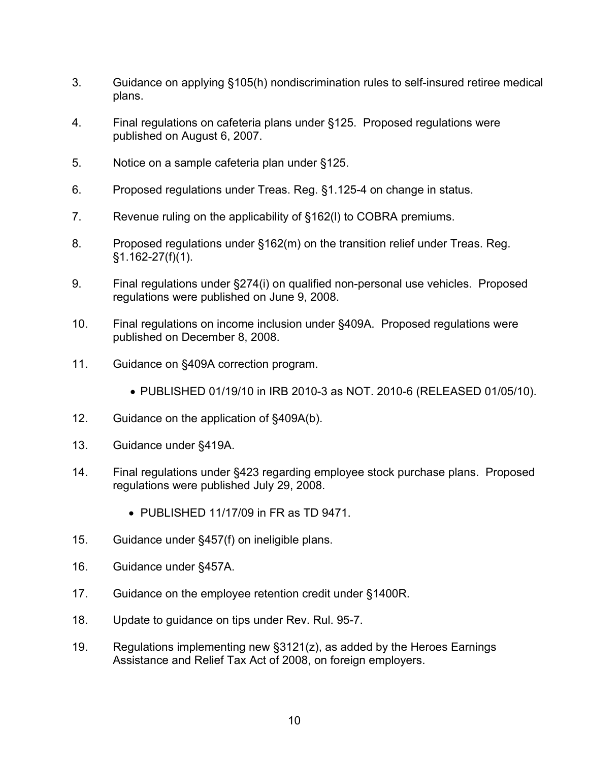- 3. Guidance on applying §105(h) nondiscrimination rules to self-insured retiree medical plans.
- 4. Final regulations on cafeteria plans under §125. Proposed regulations were published on August 6, 2007.
- 5. Notice on a sample cafeteria plan under §125.
- 6. Proposed regulations under Treas. Reg. §1.125-4 on change in status.
- 7. Revenue ruling on the applicability of §162(l) to COBRA premiums.
- 8. Proposed regulations under §162(m) on the transition relief under Treas. Reg. §1.162-27(f)(1).
- 9. Final regulations under §274(i) on qualified non-personal use vehicles. Proposed regulations were published on June 9, 2008.
- 10. Final regulations on income inclusion under §409A. Proposed regulations were published on December 8, 2008.
- 11. Guidance on §409A correction program.
	- PUBLISHED 01/19/10 in IRB 2010-3 as NOT. 2010-6 (RELEASED 01/05/10).
- 12. Guidance on the application of §409A(b).
- 13. Guidance under §419A.
- 14. Final regulations under §423 regarding employee stock purchase plans. Proposed regulations were published July 29, 2008.
	- PUBLISHED 11/17/09 in FR as TD 9471.
- 15. Guidance under §457(f) on ineligible plans.
- 16. Guidance under §457A.
- 17. Guidance on the employee retention credit under §1400R.
- 18. Update to guidance on tips under Rev. Rul. 95-7.
- 19. Regulations implementing new §3121(z), as added by the Heroes Earnings Assistance and Relief Tax Act of 2008, on foreign employers.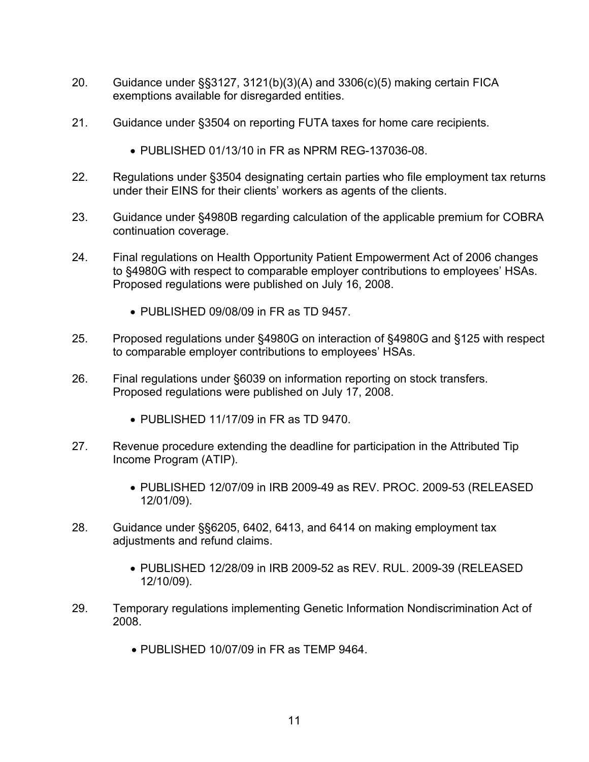- 20. Guidance under §§3127, 3121(b)(3)(A) and 3306(c)(5) making certain FICA exemptions available for disregarded entities.
- 21. Guidance under §3504 on reporting FUTA taxes for home care recipients.
	- PUBLISHED 01/13/10 in FR as NPRM REG-137036-08.
- 22. Regulations under §3504 designating certain parties who file employment tax returns under their EINS for their clients' workers as agents of the clients.
- 23. Guidance under §4980B regarding calculation of the applicable premium for COBRA continuation coverage.
- 24. Final regulations on Health Opportunity Patient Empowerment Act of 2006 changes to §4980G with respect to comparable employer contributions to employees' HSAs. Proposed regulations were published on July 16, 2008.
	- PUBLISHED 09/08/09 in FR as TD 9457.
- 25. Proposed regulations under §4980G on interaction of §4980G and §125 with respect to comparable employer contributions to employees' HSAs.
- 26. Final regulations under §6039 on information reporting on stock transfers. Proposed regulations were published on July 17, 2008.
	- PUBLISHED 11/17/09 in FR as TD 9470.
- 27. Revenue procedure extending the deadline for participation in the Attributed Tip Income Program (ATIP).
	- PUBLISHED 12/07/09 in IRB 2009-49 as REV. PROC. 2009-53 (RELEASED 12/01/09).
- 28. Guidance under §§6205, 6402, 6413, and 6414 on making employment tax adjustments and refund claims.
	- PUBLISHED 12/28/09 in IRB 2009-52 as REV. RUL. 2009-39 (RELEASED 12/10/09).
- 29. Temporary regulations implementing Genetic Information Nondiscrimination Act of 2008.
	- PUBLISHED 10/07/09 in FR as TEMP 9464.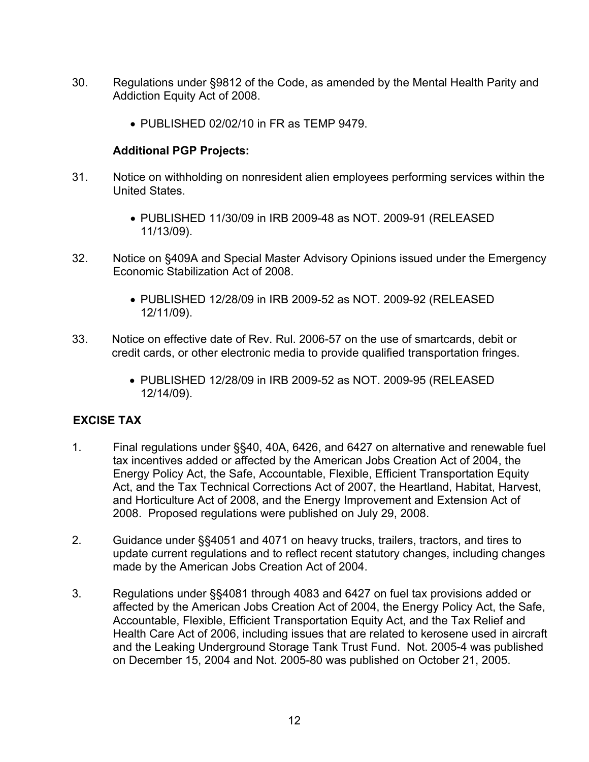- 30. Regulations under §9812 of the Code, as amended by the Mental Health Parity and Addiction Equity Act of 2008.
	- PUBLISHED 02/02/10 in FR as TEMP 9479.

- 31. Notice on withholding on nonresident alien employees performing services within the United States.
	- PUBLISHED 11/30/09 in IRB 2009-48 as NOT. 2009-91 (RELEASED 11/13/09).
- 32. Notice on §409A and Special Master Advisory Opinions issued under the Emergency Economic Stabilization Act of 2008.
	- PUBLISHED 12/28/09 in IRB 2009-52 as NOT. 2009-92 (RELEASED 12/11/09).
- 33. Notice on effective date of Rev. Rul. 2006-57 on the use of smartcards, debit or credit cards, or other electronic media to provide qualified transportation fringes.
	- PUBLISHED 12/28/09 in IRB 2009-52 as NOT. 2009-95 (RELEASED 12/14/09).

# **EXCISE TAX**

- 1. Final regulations under §§40, 40A, 6426, and 6427 on alternative and renewable fuel tax incentives added or affected by the American Jobs Creation Act of 2004, the Energy Policy Act, the Safe, Accountable, Flexible, Efficient Transportation Equity Act, and the Tax Technical Corrections Act of 2007, the Heartland, Habitat, Harvest, and Horticulture Act of 2008, and the Energy Improvement and Extension Act of 2008. Proposed regulations were published on July 29, 2008.
- 2. Guidance under §§4051 and 4071 on heavy trucks, trailers, tractors, and tires to update current regulations and to reflect recent statutory changes, including changes made by the American Jobs Creation Act of 2004.
- 3. Regulations under §§4081 through 4083 and 6427 on fuel tax provisions added or affected by the American Jobs Creation Act of 2004, the Energy Policy Act, the Safe, Accountable, Flexible, Efficient Transportation Equity Act, and the Tax Relief and Health Care Act of 2006, including issues that are related to kerosene used in aircraft and the Leaking Underground Storage Tank Trust Fund. Not. 2005-4 was published on December 15, 2004 and Not. 2005-80 was published on October 21, 2005.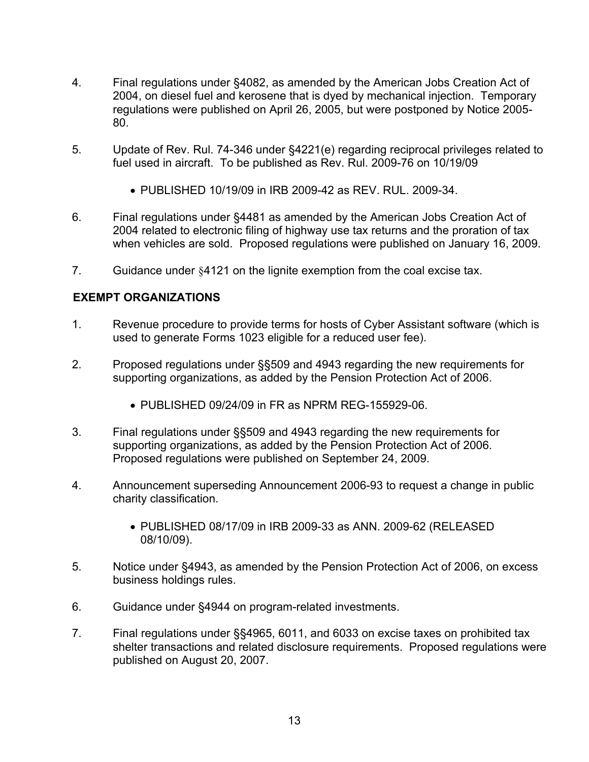- 4. Final regulations under §4082, as amended by the American Jobs Creation Act of 2004, on diesel fuel and kerosene that is dyed by mechanical injection. Temporary regulations were published on April 26, 2005, but were postponed by Notice 2005- 80.
- 5. Update of Rev. Rul. 74-346 under §4221(e) regarding reciprocal privileges related to fuel used in aircraft. To be published as Rev. Rul. 2009-76 on 10/19/09
	- PUBLISHED 10/19/09 in IRB 2009-42 as REV. RUL. 2009-34.
- 6. Final regulations under §4481 as amended by the American Jobs Creation Act of 2004 related to electronic filing of highway use tax returns and the proration of tax when vehicles are sold. Proposed regulations were published on January 16, 2009.
- 7. Guidance under §4121 on the lignite exemption from the coal excise tax.

# **EXEMPT ORGANIZATIONS**

- 1. Revenue procedure to provide terms for hosts of Cyber Assistant software (which is used to generate Forms 1023 eligible for a reduced user fee).
- 2. Proposed regulations under §§509 and 4943 regarding the new requirements for supporting organizations, as added by the Pension Protection Act of 2006.
	- PUBLISHED 09/24/09 in FR as NPRM REG-155929-06.
- 3. Final regulations under §§509 and 4943 regarding the new requirements for supporting organizations, as added by the Pension Protection Act of 2006. Proposed regulations were published on September 24, 2009.
- 4. Announcement superseding Announcement 2006-93 to request a change in public charity classification.
	- PUBLISHED 08/17/09 in IRB 2009-33 as ANN. 2009-62 (RELEASED 08/10/09).
- 5. Notice under §4943, as amended by the Pension Protection Act of 2006, on excess business holdings rules.
- 6. Guidance under §4944 on program-related investments.
- 7. Final regulations under §§4965, 6011, and 6033 on excise taxes on prohibited tax shelter transactions and related disclosure requirements. Proposed regulations were published on August 20, 2007.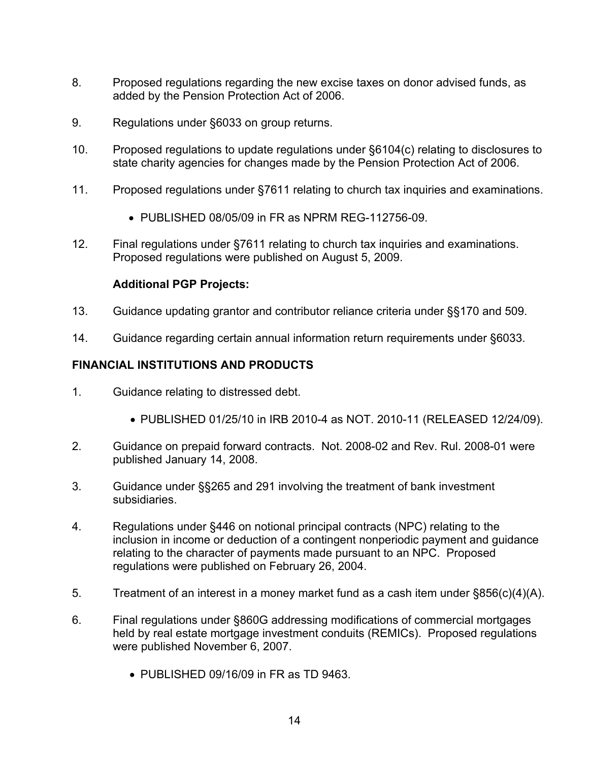- 8. Proposed regulations regarding the new excise taxes on donor advised funds, as added by the Pension Protection Act of 2006.
- 9. Regulations under §6033 on group returns.
- 10. Proposed regulations to update regulations under §6104(c) relating to disclosures to state charity agencies for changes made by the Pension Protection Act of 2006.
- 11. Proposed regulations under §7611 relating to church tax inquiries and examinations.
	- PUBLISHED 08/05/09 in FR as NPRM REG-112756-09.
- 12. Final regulations under §7611 relating to church tax inquiries and examinations. Proposed regulations were published on August 5, 2009.

- 13. Guidance updating grantor and contributor reliance criteria under §§170 and 509.
- 14. Guidance regarding certain annual information return requirements under §6033.

## **FINANCIAL INSTITUTIONS AND PRODUCTS**

- 1. Guidance relating to distressed debt.
	- PUBLISHED 01/25/10 in IRB 2010-4 as NOT. 2010-11 (RELEASED 12/24/09).
- 2. Guidance on prepaid forward contracts. Not. 2008-02 and Rev. Rul. 2008-01 were published January 14, 2008.
- 3. Guidance under §§265 and 291 involving the treatment of bank investment subsidiaries.
- 4. Regulations under §446 on notional principal contracts (NPC) relating to the inclusion in income or deduction of a contingent nonperiodic payment and guidance relating to the character of payments made pursuant to an NPC. Proposed regulations were published on February 26, 2004.
- 5. Treatment of an interest in a money market fund as a cash item under §856(c)(4)(A).
- 6. Final regulations under §860G addressing modifications of commercial mortgages held by real estate mortgage investment conduits (REMICs). Proposed regulations were published November 6, 2007.
	- PUBLISHED 09/16/09 in FR as TD 9463.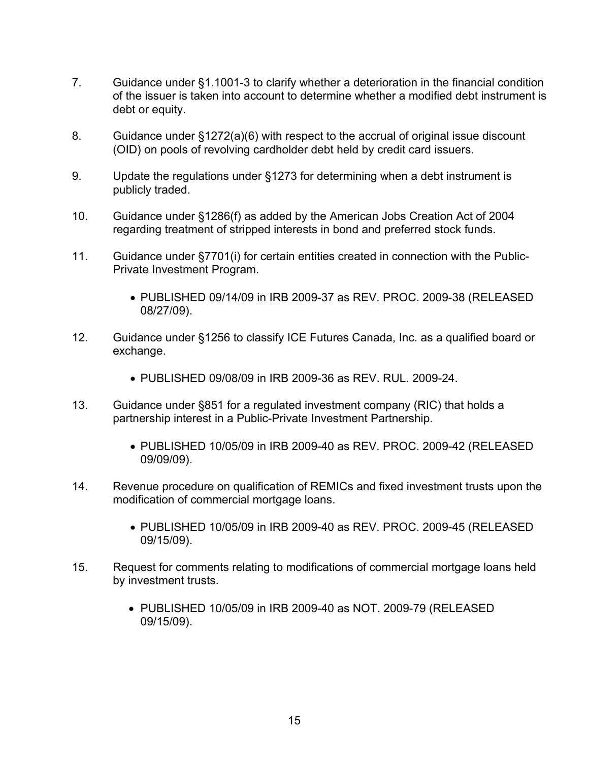- 7. Guidance under §1.1001-3 to clarify whether a deterioration in the financial condition of the issuer is taken into account to determine whether a modified debt instrument is debt or equity.
- 8. Guidance under §1272(a)(6) with respect to the accrual of original issue discount (OID) on pools of revolving cardholder debt held by credit card issuers.
- 9. Update the regulations under §1273 for determining when a debt instrument is publicly traded.
- 10. Guidance under §1286(f) as added by the American Jobs Creation Act of 2004 regarding treatment of stripped interests in bond and preferred stock funds.
- 11. Guidance under §7701(i) for certain entities created in connection with the Public-Private Investment Program.
	- PUBLISHED 09/14/09 in IRB 2009-37 as REV. PROC. 2009-38 (RELEASED 08/27/09).
- 12. Guidance under §1256 to classify ICE Futures Canada, Inc. as a qualified board or exchange.
	- PUBLISHED 09/08/09 in IRB 2009-36 as REV. RUL. 2009-24.
- 13. Guidance under §851 for a regulated investment company (RIC) that holds a partnership interest in a Public-Private Investment Partnership.
	- PUBLISHED 10/05/09 in IRB 2009-40 as REV. PROC. 2009-42 (RELEASED 09/09/09).
- 14. Revenue procedure on qualification of REMICs and fixed investment trusts upon the modification of commercial mortgage loans.
	- PUBLISHED 10/05/09 in IRB 2009-40 as REV. PROC. 2009-45 (RELEASED 09/15/09).
- 15. Request for comments relating to modifications of commercial mortgage loans held by investment trusts.
	- PUBLISHED 10/05/09 in IRB 2009-40 as NOT. 2009-79 (RELEASED 09/15/09).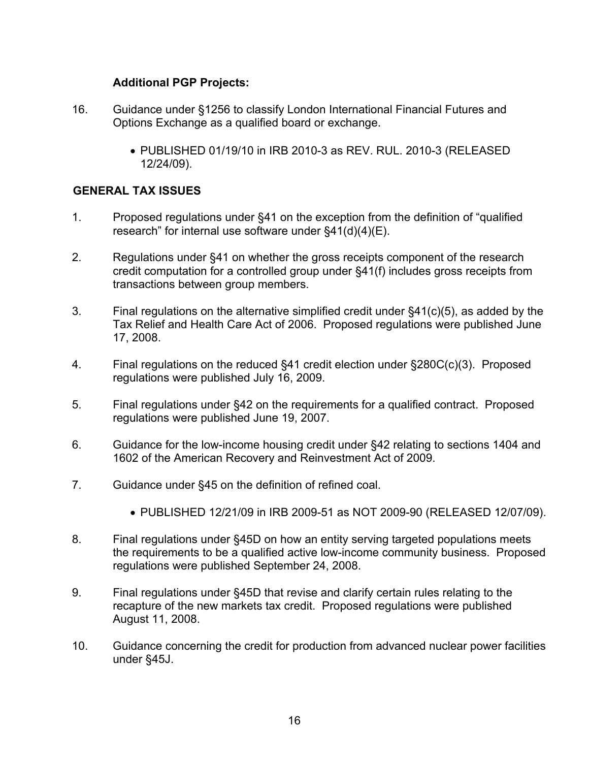- 16. Guidance under §1256 to classify London International Financial Futures and Options Exchange as a qualified board or exchange.
	- PUBLISHED 01/19/10 in IRB 2010-3 as REV. RUL. 2010-3 (RELEASED 12/24/09).

## **GENERAL TAX ISSUES**

- 1. Proposed regulations under §41 on the exception from the definition of "qualified research" for internal use software under §41(d)(4)(E).
- 2. Regulations under §41 on whether the gross receipts component of the research credit computation for a controlled group under §41(f) includes gross receipts from transactions between group members.
- 3. Final regulations on the alternative simplified credit under §41(c)(5), as added by the Tax Relief and Health Care Act of 2006. Proposed regulations were published June 17, 2008.
- 4. Final regulations on the reduced §41 credit election under §280C(c)(3). Proposed regulations were published July 16, 2009.
- 5. Final regulations under §42 on the requirements for a qualified contract. Proposed regulations were published June 19, 2007.
- 6. Guidance for the low-income housing credit under §42 relating to sections 1404 and 1602 of the American Recovery and Reinvestment Act of 2009.
- 7. Guidance under §45 on the definition of refined coal.
	- PUBLISHED 12/21/09 in IRB 2009-51 as NOT 2009-90 (RELEASED 12/07/09).
- 8. Final regulations under §45D on how an entity serving targeted populations meets the requirements to be a qualified active low-income community business. Proposed regulations were published September 24, 2008.
- 9. Final regulations under §45D that revise and clarify certain rules relating to the recapture of the new markets tax credit. Proposed regulations were published August 11, 2008.
- 10. Guidance concerning the credit for production from advanced nuclear power facilities under §45J.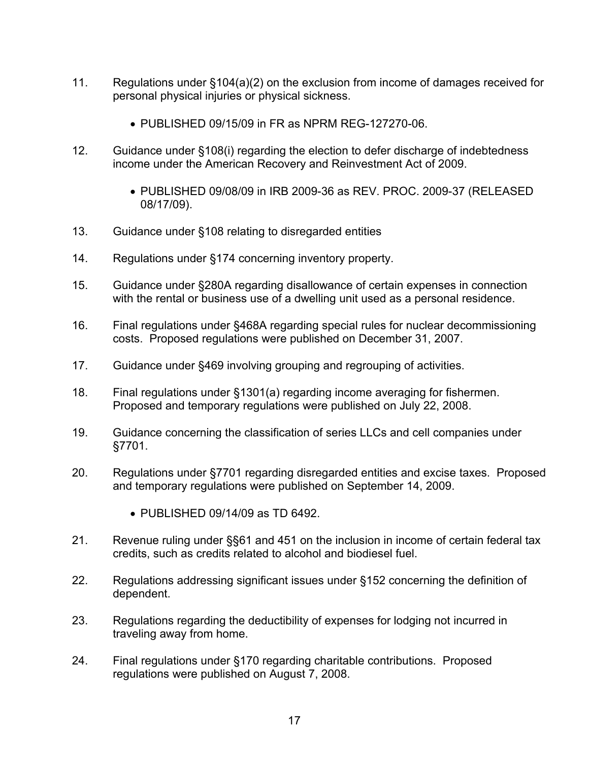- 11. Regulations under §104(a)(2) on the exclusion from income of damages received for personal physical injuries or physical sickness.
	- PUBLISHED 09/15/09 in FR as NPRM REG-127270-06.
- 12. Guidance under §108(i) regarding the election to defer discharge of indebtedness income under the American Recovery and Reinvestment Act of 2009.
	- PUBLISHED 09/08/09 in IRB 2009-36 as REV. PROC. 2009-37 (RELEASED 08/17/09).
- 13. Guidance under §108 relating to disregarded entities
- 14. Regulations under §174 concerning inventory property.
- 15. Guidance under §280A regarding disallowance of certain expenses in connection with the rental or business use of a dwelling unit used as a personal residence.
- 16. Final regulations under §468A regarding special rules for nuclear decommissioning costs. Proposed regulations were published on December 31, 2007.
- 17. Guidance under §469 involving grouping and regrouping of activities.
- 18. Final regulations under §1301(a) regarding income averaging for fishermen. Proposed and temporary regulations were published on July 22, 2008.
- 19. Guidance concerning the classification of series LLCs and cell companies under §7701.
- 20. Regulations under §7701 regarding disregarded entities and excise taxes. Proposed and temporary regulations were published on September 14, 2009.
	- PUBLISHED 09/14/09 as TD 6492.
- 21. Revenue ruling under §§61 and 451 on the inclusion in income of certain federal tax credits, such as credits related to alcohol and biodiesel fuel.
- 22. Regulations addressing significant issues under §152 concerning the definition of dependent.
- 23. Regulations regarding the deductibility of expenses for lodging not incurred in traveling away from home.
- 24. Final regulations under §170 regarding charitable contributions. Proposed regulations were published on August 7, 2008.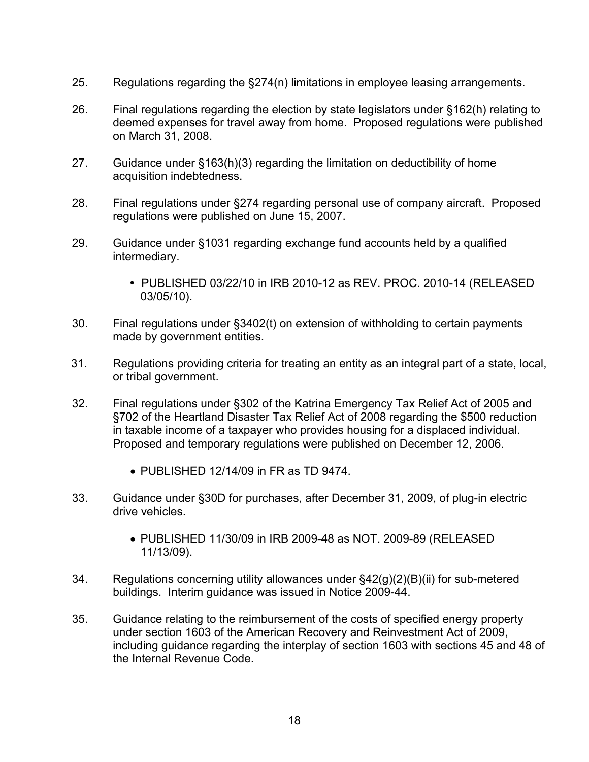- 25. Regulations regarding the §274(n) limitations in employee leasing arrangements.
- 26. Final regulations regarding the election by state legislators under §162(h) relating to deemed expenses for travel away from home. Proposed regulations were published on March 31, 2008.
- 27. Guidance under §163(h)(3) regarding the limitation on deductibility of home acquisition indebtedness.
- 28. Final regulations under §274 regarding personal use of company aircraft. Proposed regulations were published on June 15, 2007.
- 29. Guidance under §1031 regarding exchange fund accounts held by a qualified intermediary.
	- PUBLISHED 03/22/10 in IRB 2010-12 as REV. PROC. 2010-14 (RELEASED 03/05/10).
- 30. Final regulations under §3402(t) on extension of withholding to certain payments made by government entities.
- 31. Regulations providing criteria for treating an entity as an integral part of a state, local, or tribal government.
- 32. Final regulations under §302 of the Katrina Emergency Tax Relief Act of 2005 and §702 of the Heartland Disaster Tax Relief Act of 2008 regarding the \$500 reduction in taxable income of a taxpayer who provides housing for a displaced individual. Proposed and temporary regulations were published on December 12, 2006.
	- PUBLISHED 12/14/09 in FR as TD 9474.
- 33. Guidance under §30D for purchases, after December 31, 2009, of plug-in electric drive vehicles.
	- PUBLISHED 11/30/09 in IRB 2009-48 as NOT. 2009-89 (RELEASED 11/13/09).
- 34. Regulations concerning utility allowances under §42(g)(2)(B)(ii) for sub-metered buildings. Interim guidance was issued in Notice 2009-44.
- 35. Guidance relating to the reimbursement of the costs of specified energy property under section 1603 of the American Recovery and Reinvestment Act of 2009, including guidance regarding the interplay of section 1603 with sections 45 and 48 of the Internal Revenue Code.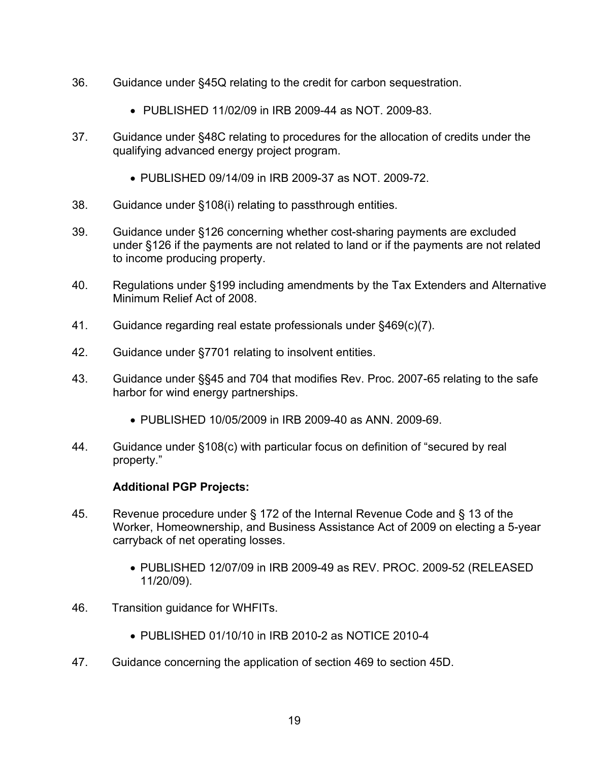- 36. Guidance under §45Q relating to the credit for carbon sequestration.
	- PUBLISHED 11/02/09 in IRB 2009-44 as NOT. 2009-83.
- 37. Guidance under §48C relating to procedures for the allocation of credits under the qualifying advanced energy project program.
	- PUBLISHED 09/14/09 in IRB 2009-37 as NOT. 2009-72.
- 38. Guidance under §108(i) relating to passthrough entities.
- 39. Guidance under §126 concerning whether cost-sharing payments are excluded under §126 if the payments are not related to land or if the payments are not related to income producing property.
- 40. Regulations under §199 including amendments by the Tax Extenders and Alternative Minimum Relief Act of 2008.
- 41. Guidance regarding real estate professionals under §469(c)(7).
- 42. Guidance under §7701 relating to insolvent entities.
- 43. Guidance under §§45 and 704 that modifies Rev. Proc. 2007-65 relating to the safe harbor for wind energy partnerships.
	- PUBLISHED 10/05/2009 in IRB 2009-40 as ANN. 2009-69.
- 44. Guidance under §108(c) with particular focus on definition of "secured by real property."

- 45. Revenue procedure under § 172 of the Internal Revenue Code and § 13 of the Worker, Homeownership, and Business Assistance Act of 2009 on electing a 5-year carryback of net operating losses.
	- PUBLISHED 12/07/09 in IRB 2009-49 as REV. PROC. 2009-52 (RELEASED 11/20/09).
- 46. Transition guidance for WHFITs.
	- PUBLISHED 01/10/10 in IRB 2010-2 as NOTICE 2010-4
- 47. Guidance concerning the application of section 469 to section 45D.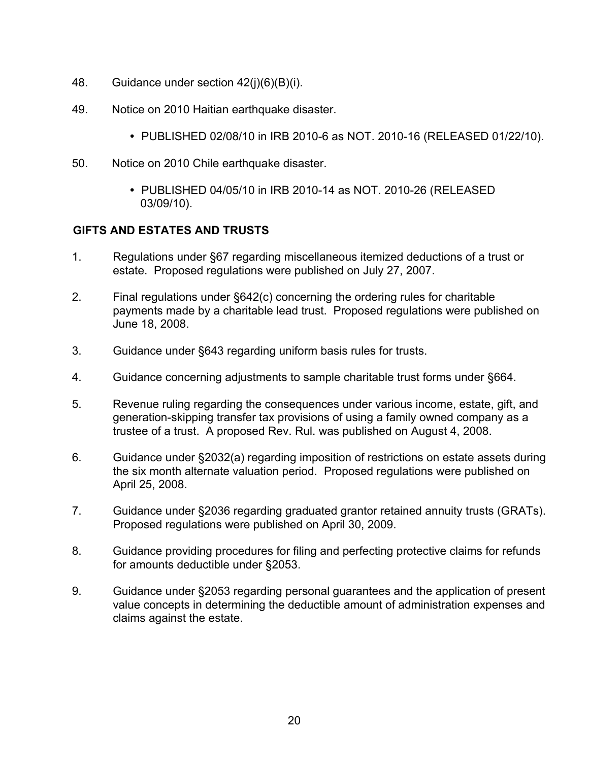- 48. Guidance under section 42(j)(6)(B)(i).
- 49. Notice on 2010 Haitian earthquake disaster.
	- PUBLISHED 02/08/10 in IRB 2010-6 as NOT. 2010-16 (RELEASED 01/22/10).
- 50. Notice on 2010 Chile earthquake disaster.
	- PUBLISHED 04/05/10 in IRB 2010-14 as NOT. 2010-26 (RELEASED 03/09/10).

# **GIFTS AND ESTATES AND TRUSTS**

- 1. Regulations under §67 regarding miscellaneous itemized deductions of a trust or estate. Proposed regulations were published on July 27, 2007.
- 2. Final regulations under §642(c) concerning the ordering rules for charitable payments made by a charitable lead trust. Proposed regulations were published on June 18, 2008.
- 3. Guidance under §643 regarding uniform basis rules for trusts.
- 4. Guidance concerning adjustments to sample charitable trust forms under §664.
- 5. Revenue ruling regarding the consequences under various income, estate, gift, and generation-skipping transfer tax provisions of using a family owned company as a trustee of a trust. A proposed Rev. Rul. was published on August 4, 2008.
- 6. Guidance under §2032(a) regarding imposition of restrictions on estate assets during the six month alternate valuation period. Proposed regulations were published on April 25, 2008.
- 7. Guidance under §2036 regarding graduated grantor retained annuity trusts (GRATs). Proposed regulations were published on April 30, 2009.
- 8. Guidance providing procedures for filing and perfecting protective claims for refunds for amounts deductible under §2053.
- 9. Guidance under §2053 regarding personal guarantees and the application of present value concepts in determining the deductible amount of administration expenses and claims against the estate.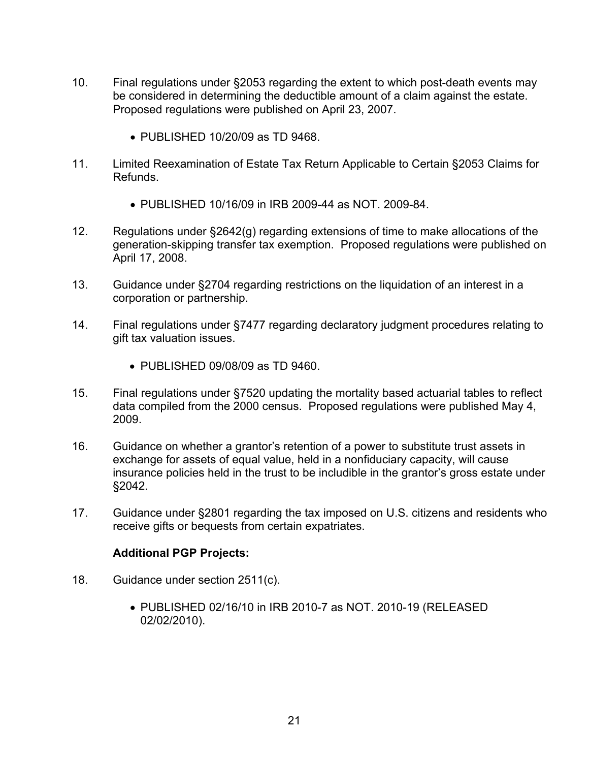- 10. Final regulations under §2053 regarding the extent to which post-death events may be considered in determining the deductible amount of a claim against the estate. Proposed regulations were published on April 23, 2007.
	- PUBLISHED 10/20/09 as TD 9468.
- 11. Limited Reexamination of Estate Tax Return Applicable to Certain §2053 Claims for Refunds.
	- PUBLISHED 10/16/09 in IRB 2009-44 as NOT. 2009-84.
- 12. Regulations under §2642(g) regarding extensions of time to make allocations of the generation-skipping transfer tax exemption. Proposed regulations were published on April 17, 2008.
- 13. Guidance under §2704 regarding restrictions on the liquidation of an interest in a corporation or partnership.
- 14. Final regulations under §7477 regarding declaratory judgment procedures relating to gift tax valuation issues.
	- PUBLISHED 09/08/09 as TD 9460.
- 15. Final regulations under §7520 updating the mortality based actuarial tables to reflect data compiled from the 2000 census. Proposed regulations were published May 4, 2009.
- 16. Guidance on whether a grantor's retention of a power to substitute trust assets in exchange for assets of equal value, held in a nonfiduciary capacity, will cause insurance policies held in the trust to be includible in the grantor's gross estate under §2042.
- 17. Guidance under §2801 regarding the tax imposed on U.S. citizens and residents who receive gifts or bequests from certain expatriates.

- 18. Guidance under section 2511(c).
	- PUBLISHED 02/16/10 in IRB 2010-7 as NOT. 2010-19 (RELEASED 02/02/2010).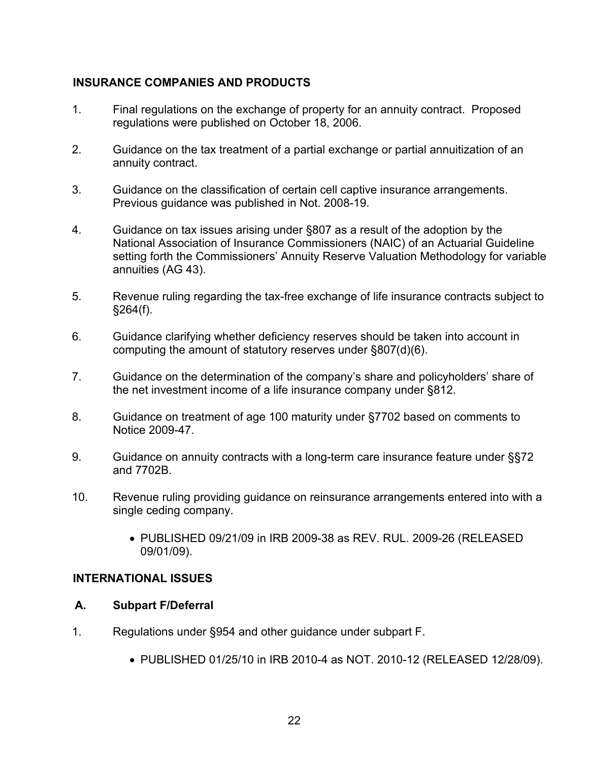# **INSURANCE COMPANIES AND PRODUCTS**

- 1. Final regulations on the exchange of property for an annuity contract. Proposed regulations were published on October 18, 2006.
- 2. Guidance on the tax treatment of a partial exchange or partial annuitization of an annuity contract.
- 3. Guidance on the classification of certain cell captive insurance arrangements. Previous guidance was published in Not. 2008-19.
- 4. Guidance on tax issues arising under §807 as a result of the adoption by the National Association of Insurance Commissioners (NAIC) of an Actuarial Guideline setting forth the Commissioners' Annuity Reserve Valuation Methodology for variable annuities (AG 43).
- 5. Revenue ruling regarding the tax-free exchange of life insurance contracts subject to §264(f).
- 6. Guidance clarifying whether deficiency reserves should be taken into account in computing the amount of statutory reserves under §807(d)(6).
- 7. Guidance on the determination of the company's share and policyholders' share of the net investment income of a life insurance company under §812.
- 8. Guidance on treatment of age 100 maturity under §7702 based on comments to Notice 2009-47.
- 9. Guidance on annuity contracts with a long-term care insurance feature under §§72 and 7702B.
- 10. Revenue ruling providing guidance on reinsurance arrangements entered into with a single ceding company.
	- PUBLISHED 09/21/09 in IRB 2009-38 as REV. RUL. 2009-26 (RELEASED 09/01/09).

#### **INTERNATIONAL ISSUES**

#### **A. Subpart F/Deferral**

- 1. Regulations under §954 and other guidance under subpart F.
	- PUBLISHED 01/25/10 in IRB 2010-4 as NOT. 2010-12 (RELEASED 12/28/09).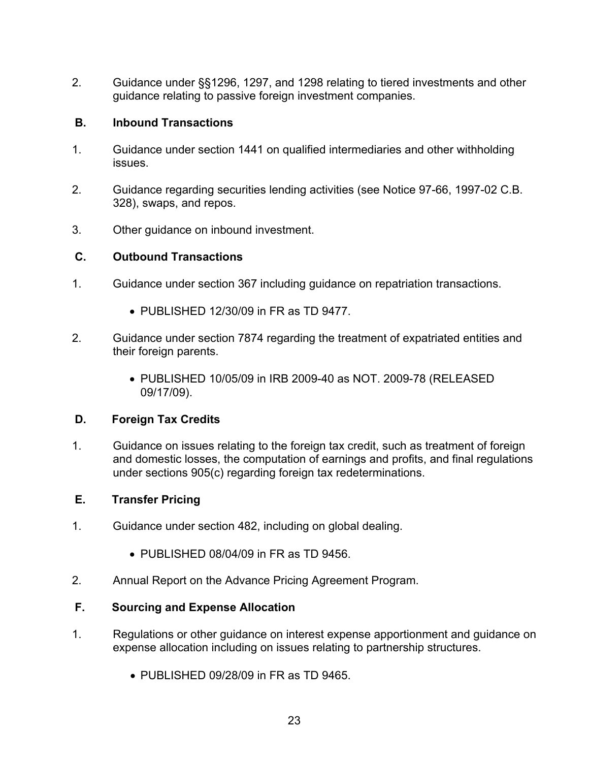2. Guidance under §§1296, 1297, and 1298 relating to tiered investments and other guidance relating to passive foreign investment companies.

## **B. Inbound Transactions**

- 1. Guidance under section 1441 on qualified intermediaries and other withholding issues.
- 2. Guidance regarding securities lending activities (see Notice 97-66, 1997-02 C.B. 328), swaps, and repos.
- 3. Other guidance on inbound investment.

## **C. Outbound Transactions**

- 1. Guidance under section 367 including guidance on repatriation transactions.
	- PUBLISHED 12/30/09 in FR as TD 9477.
- 2. Guidance under section 7874 regarding the treatment of expatriated entities and their foreign parents.
	- PUBLISHED 10/05/09 in IRB 2009-40 as NOT. 2009-78 (RELEASED 09/17/09).

# **D. Foreign Tax Credits**

1. Guidance on issues relating to the foreign tax credit, such as treatment of foreign and domestic losses, the computation of earnings and profits, and final regulations under sections 905(c) regarding foreign tax redeterminations.

# **E. Transfer Pricing**

- 1. Guidance under section 482, including on global dealing.
	- PUBLISHED 08/04/09 in FR as TD 9456.
- 2. Annual Report on the Advance Pricing Agreement Program.

#### **F. Sourcing and Expense Allocation**

- 1. Regulations or other guidance on interest expense apportionment and guidance on expense allocation including on issues relating to partnership structures.
	- PUBLISHED 09/28/09 in FR as TD 9465.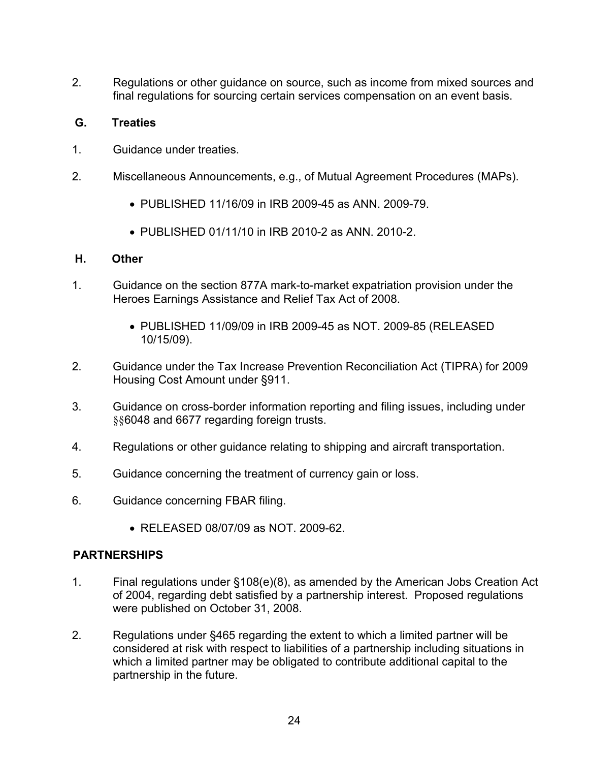2. Regulations or other guidance on source, such as income from mixed sources and final regulations for sourcing certain services compensation on an event basis.

## **G. Treaties**

- 1. Guidance under treaties.
- 2. Miscellaneous Announcements, e.g., of Mutual Agreement Procedures (MAPs).
	- PUBLISHED 11/16/09 in IRB 2009-45 as ANN. 2009-79.
	- PUBLISHED 01/11/10 in IRB 2010-2 as ANN. 2010-2.

#### **H. Other**

- 1. Guidance on the section 877A mark-to-market expatriation provision under the Heroes Earnings Assistance and Relief Tax Act of 2008.
	- PUBLISHED 11/09/09 in IRB 2009-45 as NOT. 2009-85 (RELEASED 10/15/09).
- 2. Guidance under the Tax Increase Prevention Reconciliation Act (TIPRA) for 2009 Housing Cost Amount under §911.
- 3. Guidance on cross-border information reporting and filing issues, including under §§6048 and 6677 regarding foreign trusts.
- 4. Regulations or other guidance relating to shipping and aircraft transportation.
- 5. Guidance concerning the treatment of currency gain or loss.
- 6. Guidance concerning FBAR filing.
	- RELEASED 08/07/09 as NOT. 2009-62.

#### **PARTNERSHIPS**

- 1. Final regulations under §108(e)(8), as amended by the American Jobs Creation Act of 2004, regarding debt satisfied by a partnership interest. Proposed regulations were published on October 31, 2008.
- 2. Regulations under §465 regarding the extent to which a limited partner will be considered at risk with respect to liabilities of a partnership including situations in which a limited partner may be obligated to contribute additional capital to the partnership in the future.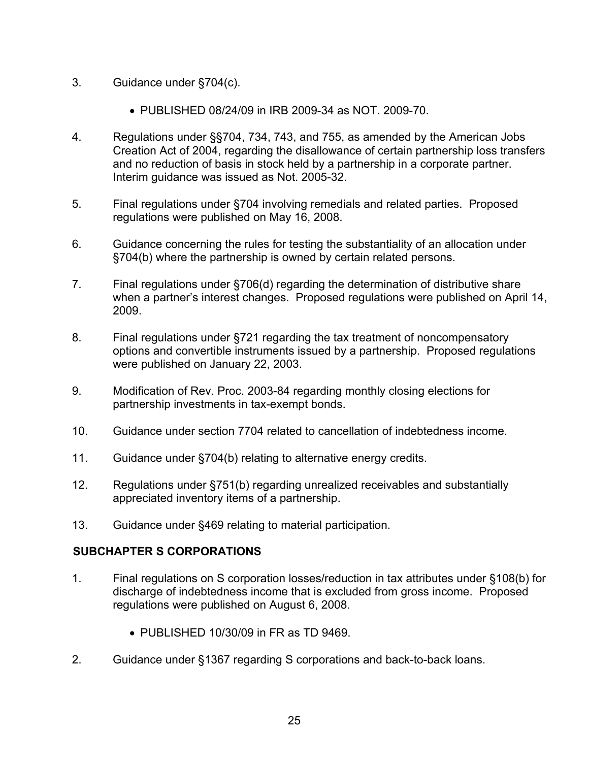- 3. Guidance under §704(c).
	- PUBLISHED 08/24/09 in IRB 2009-34 as NOT. 2009-70.
- 4. Regulations under §§704, 734, 743, and 755, as amended by the American Jobs Creation Act of 2004, regarding the disallowance of certain partnership loss transfers and no reduction of basis in stock held by a partnership in a corporate partner. Interim guidance was issued as Not. 2005-32.
- 5. Final regulations under §704 involving remedials and related parties. Proposed regulations were published on May 16, 2008.
- 6. Guidance concerning the rules for testing the substantiality of an allocation under §704(b) where the partnership is owned by certain related persons.
- 7. Final regulations under §706(d) regarding the determination of distributive share when a partner's interest changes. Proposed regulations were published on April 14, 2009.
- 8. Final regulations under §721 regarding the tax treatment of noncompensatory options and convertible instruments issued by a partnership. Proposed regulations were published on January 22, 2003.
- 9. Modification of Rev. Proc. 2003-84 regarding monthly closing elections for partnership investments in tax-exempt bonds.
- 10. Guidance under section 7704 related to cancellation of indebtedness income.
- 11. Guidance under §704(b) relating to alternative energy credits.
- 12. Regulations under §751(b) regarding unrealized receivables and substantially appreciated inventory items of a partnership.
- 13. Guidance under §469 relating to material participation.

# **SUBCHAPTER S CORPORATIONS**

- 1. Final regulations on S corporation losses/reduction in tax attributes under §108(b) for discharge of indebtedness income that is excluded from gross income. Proposed regulations were published on August 6, 2008.
	- PUBLISHED 10/30/09 in FR as TD 9469
- 2. Guidance under §1367 regarding S corporations and back-to-back loans.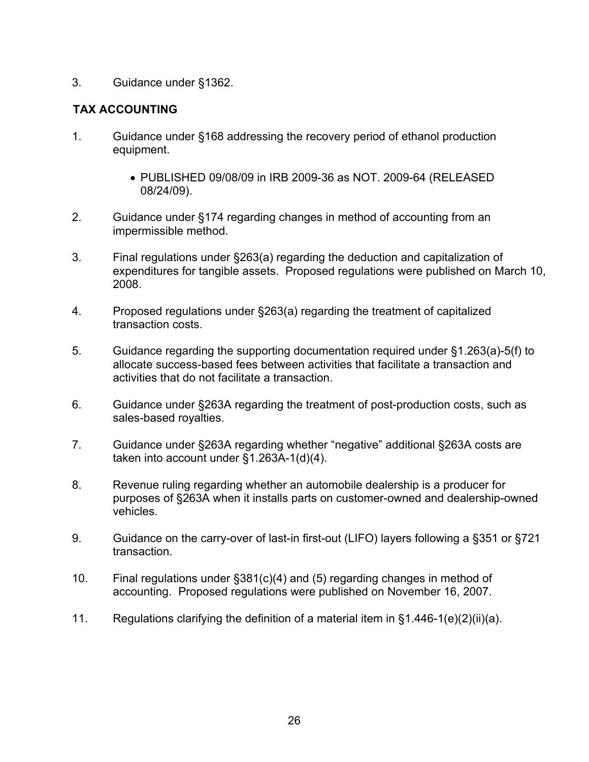#### 3. Guidance under §1362.

## **TAX ACCOUNTING**

- 1. Guidance under §168 addressing the recovery period of ethanol production equipment.
	- PUBLISHED 09/08/09 in IRB 2009-36 as NOT. 2009-64 (RELEASED 08/24/09).
- 2. Guidance under §174 regarding changes in method of accounting from an impermissible method.
- 3. Final regulations under §263(a) regarding the deduction and capitalization of expenditures for tangible assets. Proposed regulations were published on March 10, 2008.
- 4. Proposed regulations under §263(a) regarding the treatment of capitalized transaction costs.
- 5. Guidance regarding the supporting documentation required under §1.263(a)-5(f) to allocate success-based fees between activities that facilitate a transaction and activities that do not facilitate a transaction.
- 6. Guidance under §263A regarding the treatment of post-production costs, such as sales-based royalties.
- 7. Guidance under §263A regarding whether "negative" additional §263A costs are taken into account under §1.263A-1(d)(4).
- 8. Revenue ruling regarding whether an automobile dealership is a producer for purposes of §263A when it installs parts on customer-owned and dealership-owned vehicles.
- 9. Guidance on the carry-over of last-in first-out (LIFO) layers following a §351 or §721 transaction.
- 10. Final regulations under §381(c)(4) and (5) regarding changes in method of accounting. Proposed regulations were published on November 16, 2007.
- 11. Regulations clarifying the definition of a material item in §1.446-1(e)(2)(ii)(a).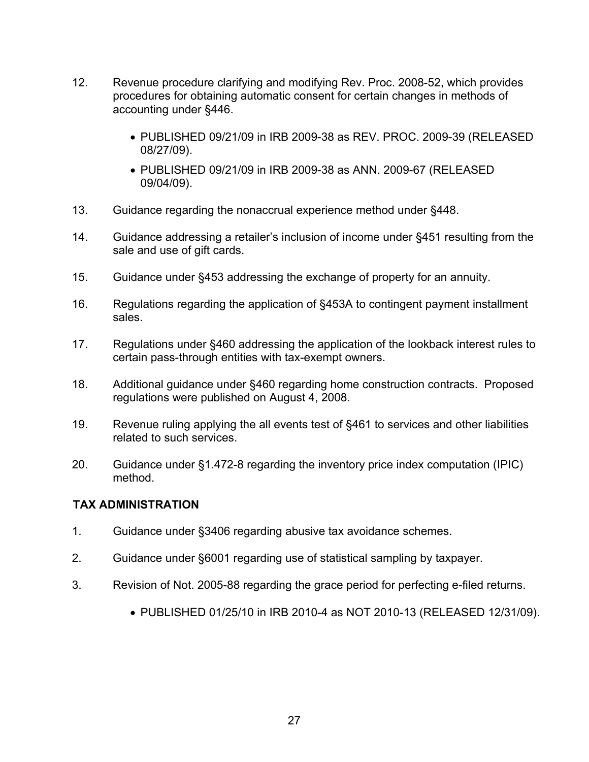- 12. Revenue procedure clarifying and modifying Rev. Proc. 2008-52, which provides procedures for obtaining automatic consent for certain changes in methods of accounting under §446.
	- PUBLISHED 09/21/09 in IRB 2009-38 as REV. PROC. 2009-39 (RELEASED 08/27/09).
	- PUBLISHED 09/21/09 in IRB 2009-38 as ANN. 2009-67 (RELEASED 09/04/09).
- 13. Guidance regarding the nonaccrual experience method under §448.
- 14. Guidance addressing a retailer's inclusion of income under §451 resulting from the sale and use of gift cards.
- 15. Guidance under §453 addressing the exchange of property for an annuity.
- 16. Regulations regarding the application of §453A to contingent payment installment sales.
- 17. Regulations under §460 addressing the application of the lookback interest rules to certain pass-through entities with tax-exempt owners.
- 18. Additional guidance under §460 regarding home construction contracts. Proposed regulations were published on August 4, 2008.
- 19. Revenue ruling applying the all events test of §461 to services and other liabilities related to such services.
- 20. Guidance under §1.472-8 regarding the inventory price index computation (IPIC) method.

### **TAX ADMINISTRATION**

- 1. Guidance under §3406 regarding abusive tax avoidance schemes.
- 2. Guidance under §6001 regarding use of statistical sampling by taxpayer.
- 3. Revision of Not. 2005-88 regarding the grace period for perfecting e-filed returns.
	- PUBLISHED 01/25/10 in IRB 2010-4 as NOT 2010-13 (RELEASED 12/31/09).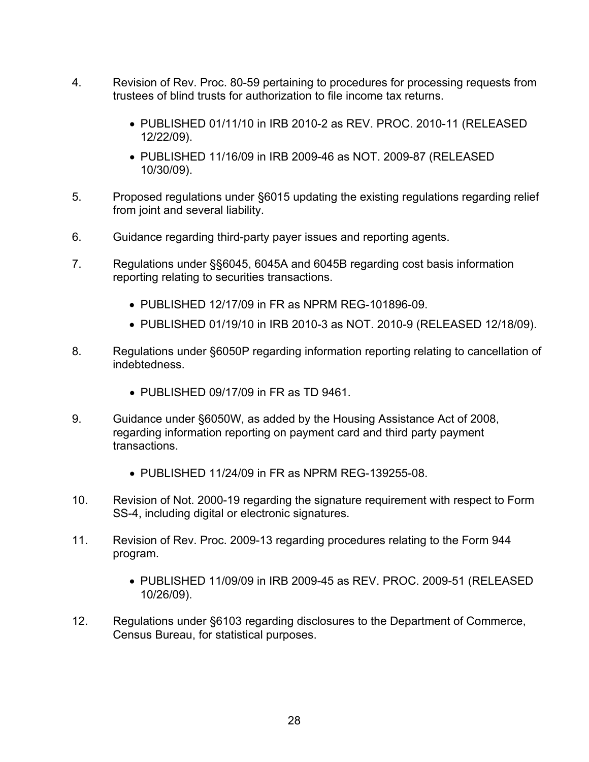- 4. Revision of Rev. Proc. 80-59 pertaining to procedures for processing requests from trustees of blind trusts for authorization to file income tax returns.
	- PUBLISHED 01/11/10 in IRB 2010-2 as REV. PROC. 2010-11 (RELEASED 12/22/09).
	- PUBLISHED 11/16/09 in IRB 2009-46 as NOT. 2009-87 (RELEASED 10/30/09).
- 5. Proposed regulations under §6015 updating the existing regulations regarding relief from joint and several liability.
- 6. Guidance regarding third-party payer issues and reporting agents.
- 7. Regulations under §§6045, 6045A and 6045B regarding cost basis information reporting relating to securities transactions.
	- PUBLISHED 12/17/09 in FR as NPRM REG-101896-09.
	- PUBLISHED 01/19/10 in IRB 2010-3 as NOT. 2010-9 (RELEASED 12/18/09).
- 8. Regulations under §6050P regarding information reporting relating to cancellation of indebtedness.
	- PUBLISHED 09/17/09 in FR as TD 9461.
- 9. Guidance under §6050W, as added by the Housing Assistance Act of 2008, regarding information reporting on payment card and third party payment transactions.
	- PUBLISHED 11/24/09 in FR as NPRM REG-139255-08.
- 10. Revision of Not. 2000-19 regarding the signature requirement with respect to Form SS-4, including digital or electronic signatures.
- 11. Revision of Rev. Proc. 2009-13 regarding procedures relating to the Form 944 program.
	- PUBLISHED 11/09/09 in IRB 2009-45 as REV. PROC. 2009-51 (RELEASED 10/26/09).
- 12. Regulations under §6103 regarding disclosures to the Department of Commerce, Census Bureau, for statistical purposes.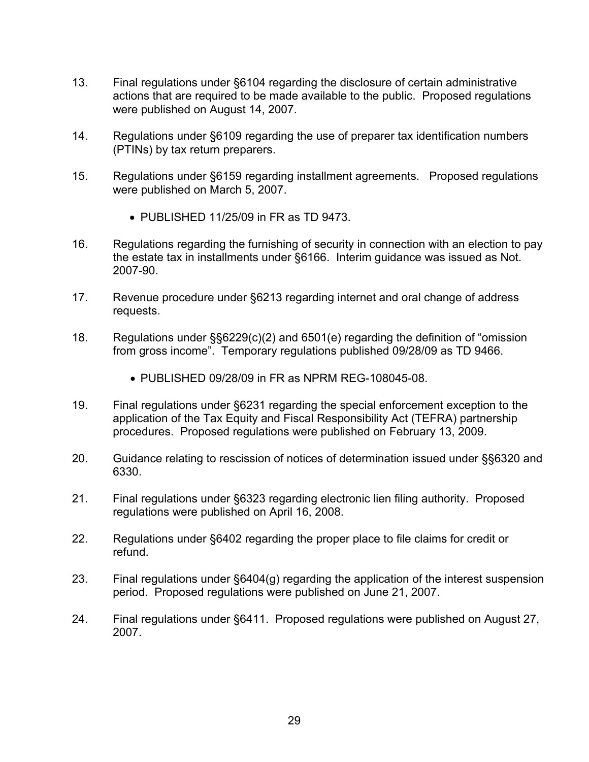- 13. Final regulations under §6104 regarding the disclosure of certain administrative actions that are required to be made available to the public. Proposed regulations were published on August 14, 2007.
- 14. Regulations under §6109 regarding the use of preparer tax identification numbers (PTINs) by tax return preparers.
- 15. Regulations under §6159 regarding installment agreements. Proposed regulations were published on March 5, 2007.
	- PUBLISHED 11/25/09 in FR as TD 9473.
- 16. Regulations regarding the furnishing of security in connection with an election to pay the estate tax in installments under §6166. Interim guidance was issued as Not. 2007-90.
- 17. Revenue procedure under §6213 regarding internet and oral change of address requests.
- 18. Regulations under §§6229(c)(2) and 6501(e) regarding the definition of "omission from gross income". Temporary regulations published 09/28/09 as TD 9466.
	- PUBLISHED 09/28/09 in FR as NPRM REG-108045-08.
- 19. Final regulations under §6231 regarding the special enforcement exception to the application of the Tax Equity and Fiscal Responsibility Act (TEFRA) partnership procedures. Proposed regulations were published on February 13, 2009.
- 20. Guidance relating to rescission of notices of determination issued under §§6320 and 6330.
- 21. Final regulations under §6323 regarding electronic lien filing authority. Proposed regulations were published on April 16, 2008.
- 22. Regulations under §6402 regarding the proper place to file claims for credit or refund.
- 23. Final regulations under §6404(g) regarding the application of the interest suspension period. Proposed regulations were published on June 21, 2007.
- 24. Final regulations under §6411. Proposed regulations were published on August 27, 2007.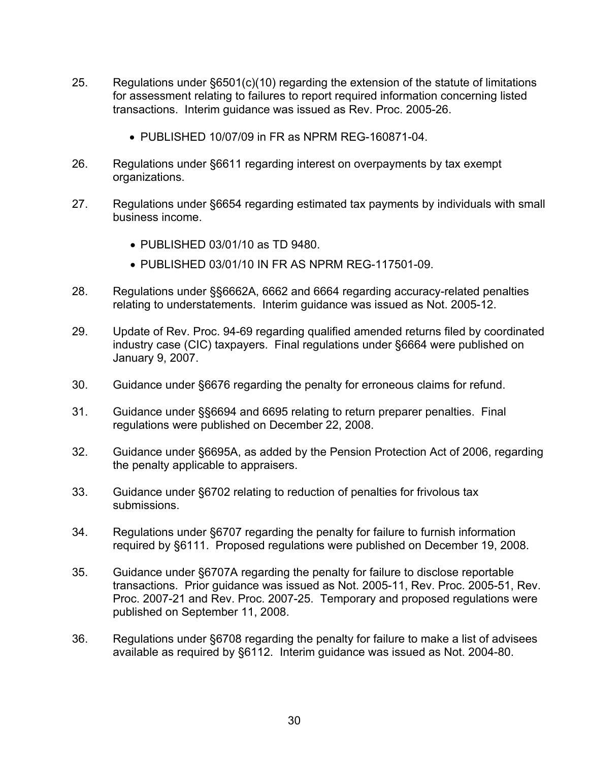- 25. Regulations under §6501(c)(10) regarding the extension of the statute of limitations for assessment relating to failures to report required information concerning listed transactions. Interim guidance was issued as Rev. Proc. 2005-26.
	- PUBLISHED 10/07/09 in FR as NPRM REG-160871-04.
- 26. Regulations under §6611 regarding interest on overpayments by tax exempt organizations.
- 27. Regulations under §6654 regarding estimated tax payments by individuals with small business income.
	- PUBLISHED 03/01/10 as TD 9480.
	- PUBLISHED 03/01/10 IN FR AS NPRM REG-117501-09.
- 28. Regulations under §§6662A, 6662 and 6664 regarding accuracy-related penalties relating to understatements. Interim guidance was issued as Not. 2005-12.
- 29. Update of Rev. Proc. 94-69 regarding qualified amended returns filed by coordinated industry case (CIC) taxpayers. Final regulations under §6664 were published on January 9, 2007.
- 30. Guidance under §6676 regarding the penalty for erroneous claims for refund.
- 31. Guidance under §§6694 and 6695 relating to return preparer penalties. Final regulations were published on December 22, 2008.
- 32. Guidance under §6695A, as added by the Pension Protection Act of 2006, regarding the penalty applicable to appraisers.
- 33. Guidance under §6702 relating to reduction of penalties for frivolous tax submissions.
- 34. Regulations under §6707 regarding the penalty for failure to furnish information required by §6111. Proposed regulations were published on December 19, 2008.
- 35. Guidance under §6707A regarding the penalty for failure to disclose reportable transactions. Prior guidance was issued as Not. 2005-11, Rev. Proc. 2005-51, Rev. Proc. 2007-21 and Rev. Proc. 2007-25. Temporary and proposed regulations were published on September 11, 2008.
- 36. Regulations under §6708 regarding the penalty for failure to make a list of advisees available as required by §6112. Interim guidance was issued as Not. 2004-80.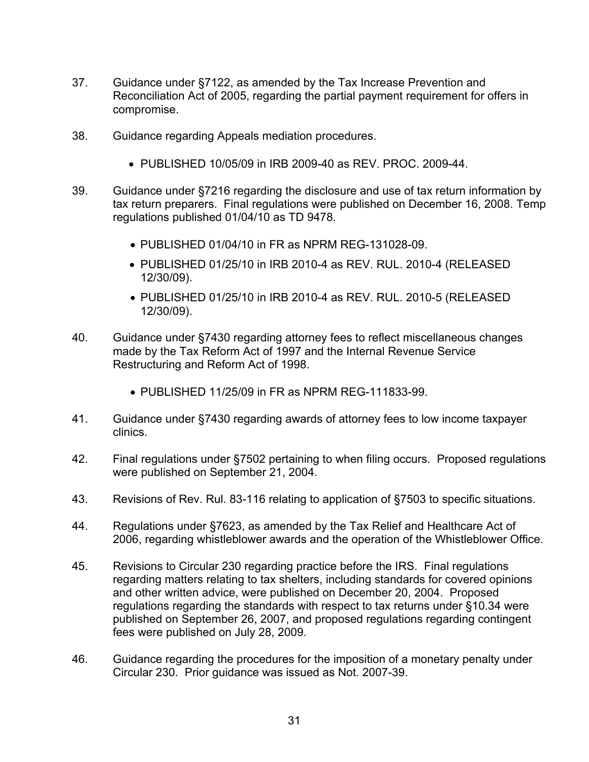- 37. Guidance under §7122, as amended by the Tax Increase Prevention and Reconciliation Act of 2005, regarding the partial payment requirement for offers in compromise.
- 38. Guidance regarding Appeals mediation procedures.
	- PUBLISHED 10/05/09 in IRB 2009-40 as REV. PROC. 2009-44.
- 39. Guidance under §7216 regarding the disclosure and use of tax return information by tax return preparers. Final regulations were published on December 16, 2008. Temp regulations published 01/04/10 as TD 9478.
	- PUBLISHED 01/04/10 in FR as NPRM REG-131028-09.
	- PUBLISHED 01/25/10 in IRB 2010-4 as REV. RUL. 2010-4 (RELEASED 12/30/09).
	- PUBLISHED 01/25/10 in IRB 2010-4 as REV. RUL. 2010-5 (RELEASED 12/30/09).
- 40. Guidance under §7430 regarding attorney fees to reflect miscellaneous changes made by the Tax Reform Act of 1997 and the Internal Revenue Service Restructuring and Reform Act of 1998.
	- PUBLISHED 11/25/09 in FR as NPRM REG-111833-99.
- 41. Guidance under §7430 regarding awards of attorney fees to low income taxpayer clinics.
- 42. Final regulations under §7502 pertaining to when filing occurs. Proposed regulations were published on September 21, 2004.
- 43. Revisions of Rev. Rul. 83-116 relating to application of §7503 to specific situations.
- 44. Regulations under §7623, as amended by the Tax Relief and Healthcare Act of 2006, regarding whistleblower awards and the operation of the Whistleblower Office.
- 45. Revisions to Circular 230 regarding practice before the IRS. Final regulations regarding matters relating to tax shelters, including standards for covered opinions and other written advice, were published on December 20, 2004. Proposed regulations regarding the standards with respect to tax returns under §10.34 were published on September 26, 2007, and proposed regulations regarding contingent fees were published on July 28, 2009.
- 46. Guidance regarding the procedures for the imposition of a monetary penalty under Circular 230. Prior guidance was issued as Not. 2007-39.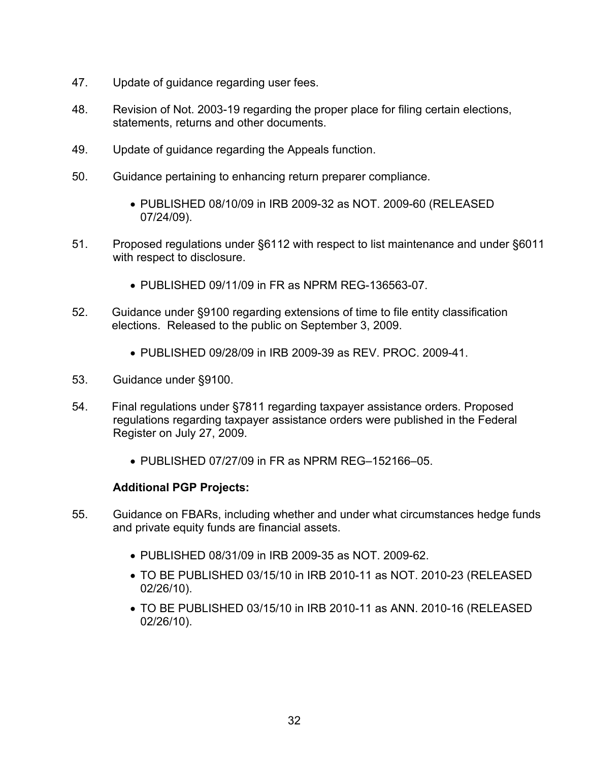- 47. Update of guidance regarding user fees.
- 48. Revision of Not. 2003-19 regarding the proper place for filing certain elections, statements, returns and other documents.
- 49. Update of guidance regarding the Appeals function.
- 50. Guidance pertaining to enhancing return preparer compliance.
	- PUBLISHED 08/10/09 in IRB 2009-32 as NOT. 2009-60 (RELEASED 07/24/09).
- 51. Proposed regulations under §6112 with respect to list maintenance and under §6011 with respect to disclosure.
	- PUBLISHED 09/11/09 in FR as NPRM REG-136563-07.
- 52. Guidance under §9100 regarding extensions of time to file entity classification elections. Released to the public on September 3, 2009.
	- PUBLISHED 09/28/09 in IRB 2009-39 as REV. PROC. 2009-41.
- 53. Guidance under §9100.
- 54. Final regulations under §7811 regarding taxpayer assistance orders. Proposed regulations regarding taxpayer assistance orders were published in the Federal Register on July 27, 2009.
	- PUBLISHED 07/27/09 in FR as NPRM REG–152166–05.

- 55. Guidance on FBARs, including whether and under what circumstances hedge funds and private equity funds are financial assets.
	- PUBLISHED 08/31/09 in IRB 2009-35 as NOT. 2009-62.
	- TO BE PUBLISHED 03/15/10 in IRB 2010-11 as NOT. 2010-23 (RELEASED 02/26/10).
	- TO BE PUBLISHED 03/15/10 in IRB 2010-11 as ANN. 2010-16 (RELEASED 02/26/10).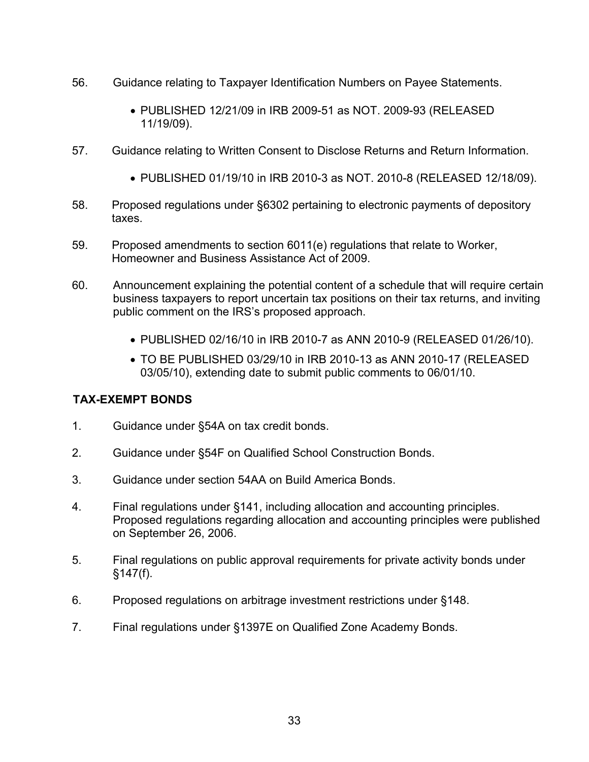- 56. Guidance relating to Taxpayer Identification Numbers on Payee Statements.
	- PUBLISHED 12/21/09 in IRB 2009-51 as NOT. 2009-93 (RELEASED 11/19/09).
- 57. Guidance relating to Written Consent to Disclose Returns and Return Information.
	- PUBLISHED 01/19/10 in IRB 2010-3 as NOT. 2010-8 (RELEASED 12/18/09).
- 58. Proposed regulations under §6302 pertaining to electronic payments of depository taxes.
- 59. Proposed amendments to section 6011(e) regulations that relate to Worker, Homeowner and Business Assistance Act of 2009.
- 60. Announcement explaining the potential content of a schedule that will require certain business taxpayers to report uncertain tax positions on their tax returns, and inviting public comment on the IRS's proposed approach.
	- PUBLISHED 02/16/10 in IRB 2010-7 as ANN 2010-9 (RELEASED 01/26/10).
	- TO BE PUBLISHED 03/29/10 in IRB 2010-13 as ANN 2010-17 (RELEASED 03/05/10), extending date to submit public comments to 06/01/10.

#### **TAX-EXEMPT BONDS**

- 1. Guidance under §54A on tax credit bonds.
- 2. Guidance under §54F on Qualified School Construction Bonds.
- 3. Guidance under section 54AA on Build America Bonds.
- 4. Final regulations under §141, including allocation and accounting principles. Proposed regulations regarding allocation and accounting principles were published on September 26, 2006.
- 5. Final regulations on public approval requirements for private activity bonds under §147(f).
- 6. Proposed regulations on arbitrage investment restrictions under §148.
- 7. Final regulations under §1397E on Qualified Zone Academy Bonds.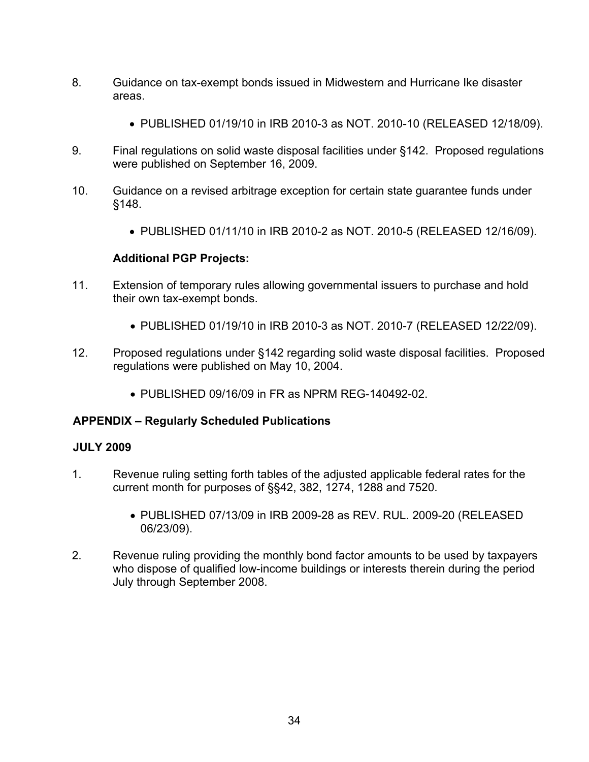- 8. Guidance on tax-exempt bonds issued in Midwestern and Hurricane Ike disaster areas.
	- PUBLISHED 01/19/10 in IRB 2010-3 as NOT. 2010-10 (RELEASED 12/18/09).
- 9. Final regulations on solid waste disposal facilities under §142. Proposed regulations were published on September 16, 2009.
- 10. Guidance on a revised arbitrage exception for certain state guarantee funds under §148.
	- PUBLISHED 01/11/10 in IRB 2010-2 as NOT. 2010-5 (RELEASED 12/16/09).

- 11. Extension of temporary rules allowing governmental issuers to purchase and hold their own tax-exempt bonds.
	- PUBLISHED 01/19/10 in IRB 2010-3 as NOT. 2010-7 (RELEASED 12/22/09).
- 12. Proposed regulations under §142 regarding solid waste disposal facilities. Proposed regulations were published on May 10, 2004.
	- PUBLISHED 09/16/09 in FR as NPRM REG-140492-02

# **APPENDIX – Regularly Scheduled Publications**

#### **JULY 2009**

- 1. Revenue ruling setting forth tables of the adjusted applicable federal rates for the current month for purposes of §§42, 382, 1274, 1288 and 7520.
	- PUBLISHED 07/13/09 in IRB 2009-28 as REV. RUL. 2009-20 (RELEASED 06/23/09).
- 2. Revenue ruling providing the monthly bond factor amounts to be used by taxpayers who dispose of qualified low-income buildings or interests therein during the period July through September 2008.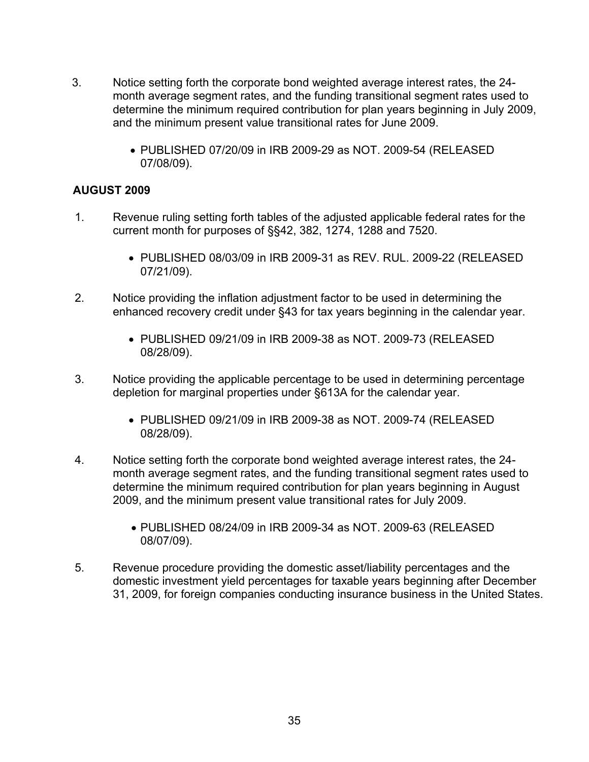- 3. Notice setting forth the corporate bond weighted average interest rates, the 24 month average segment rates, and the funding transitional segment rates used to determine the minimum required contribution for plan years beginning in July 2009, and the minimum present value transitional rates for June 2009.
	- PUBLISHED 07/20/09 in IRB 2009-29 as NOT. 2009-54 (RELEASED 07/08/09).

## **AUGUST 2009**

- 1. Revenue ruling setting forth tables of the adjusted applicable federal rates for the current month for purposes of §§42, 382, 1274, 1288 and 7520.
	- PUBLISHED 08/03/09 in IRB 2009-31 as REV. RUL. 2009-22 (RELEASED 07/21/09).
- 2. Notice providing the inflation adjustment factor to be used in determining the enhanced recovery credit under §43 for tax years beginning in the calendar year.
	- PUBLISHED 09/21/09 in IRB 2009-38 as NOT. 2009-73 (RELEASED 08/28/09).
- 3. Notice providing the applicable percentage to be used in determining percentage depletion for marginal properties under §613A for the calendar year.
	- PUBLISHED 09/21/09 in IRB 2009-38 as NOT. 2009-74 (RELEASED 08/28/09).
- 4. Notice setting forth the corporate bond weighted average interest rates, the 24 month average segment rates, and the funding transitional segment rates used to determine the minimum required contribution for plan years beginning in August 2009, and the minimum present value transitional rates for July 2009.
	- PUBLISHED 08/24/09 in IRB 2009-34 as NOT. 2009-63 (RELEASED 08/07/09).
- 5. Revenue procedure providing the domestic asset/liability percentages and the domestic investment yield percentages for taxable years beginning after December 31, 2009, for foreign companies conducting insurance business in the United States.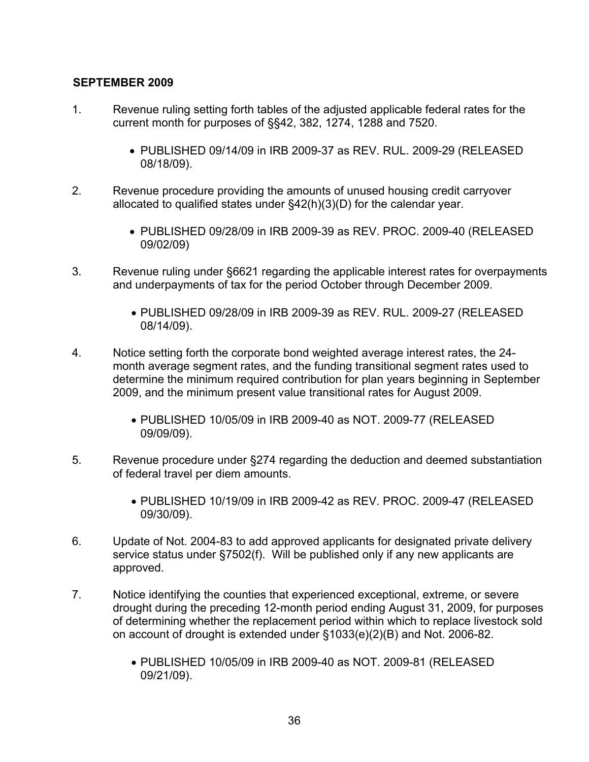## **SEPTEMBER 2009**

- 1. Revenue ruling setting forth tables of the adjusted applicable federal rates for the current month for purposes of §§42, 382, 1274, 1288 and 7520.
	- PUBLISHED 09/14/09 in IRB 2009-37 as REV. RUL. 2009-29 (RELEASED 08/18/09).
- 2. Revenue procedure providing the amounts of unused housing credit carryover allocated to qualified states under §42(h)(3)(D) for the calendar year.
	- PUBLISHED 09/28/09 in IRB 2009-39 as REV. PROC. 2009-40 (RELEASED 09/02/09)
- 3. Revenue ruling under §6621 regarding the applicable interest rates for overpayments and underpayments of tax for the period October through December 2009.
	- PUBLISHED 09/28/09 in IRB 2009-39 as REV. RUL. 2009-27 (RELEASED 08/14/09).
- 4. Notice setting forth the corporate bond weighted average interest rates, the 24 month average segment rates, and the funding transitional segment rates used to determine the minimum required contribution for plan years beginning in September 2009, and the minimum present value transitional rates for August 2009.
	- PUBLISHED 10/05/09 in IRB 2009-40 as NOT. 2009-77 (RELEASED 09/09/09).
- 5. Revenue procedure under §274 regarding the deduction and deemed substantiation of federal travel per diem amounts.
	- PUBLISHED 10/19/09 in IRB 2009-42 as REV. PROC. 2009-47 (RELEASED 09/30/09).
- 6. Update of Not. 2004-83 to add approved applicants for designated private delivery service status under §7502(f). Will be published only if any new applicants are approved.
- 7. Notice identifying the counties that experienced exceptional, extreme, or severe drought during the preceding 12-month period ending August 31, 2009, for purposes of determining whether the replacement period within which to replace livestock sold on account of drought is extended under §1033(e)(2)(B) and Not. 2006-82.
	- PUBLISHED 10/05/09 in IRB 2009-40 as NOT. 2009-81 (RELEASED 09/21/09).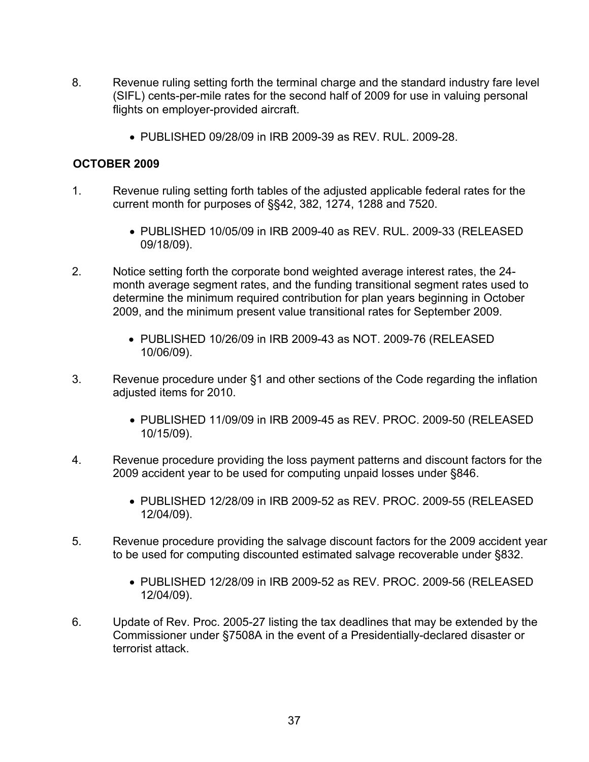- 8. Revenue ruling setting forth the terminal charge and the standard industry fare level (SIFL) cents-per-mile rates for the second half of 2009 for use in valuing personal flights on employer-provided aircraft.
	- PUBLISHED 09/28/09 in IRB 2009-39 as REV. RUL. 2009-28.

## **OCTOBER 2009**

- 1. Revenue ruling setting forth tables of the adjusted applicable federal rates for the current month for purposes of §§42, 382, 1274, 1288 and 7520.
	- PUBLISHED 10/05/09 in IRB 2009-40 as REV. RUL. 2009-33 (RELEASED 09/18/09).
- 2. Notice setting forth the corporate bond weighted average interest rates, the 24 month average segment rates, and the funding transitional segment rates used to determine the minimum required contribution for plan years beginning in October 2009, and the minimum present value transitional rates for September 2009.
	- PUBLISHED 10/26/09 in IRB 2009-43 as NOT. 2009-76 (RELEASED 10/06/09).
- 3. Revenue procedure under §1 and other sections of the Code regarding the inflation adjusted items for 2010.
	- PUBLISHED 11/09/09 in IRB 2009-45 as REV. PROC. 2009-50 (RELEASED 10/15/09).
- 4. Revenue procedure providing the loss payment patterns and discount factors for the 2009 accident year to be used for computing unpaid losses under §846.
	- PUBLISHED 12/28/09 in IRB 2009-52 as REV. PROC. 2009-55 (RELEASED 12/04/09).
- 5. Revenue procedure providing the salvage discount factors for the 2009 accident year to be used for computing discounted estimated salvage recoverable under §832.
	- PUBLISHED 12/28/09 in IRB 2009-52 as REV. PROC. 2009-56 (RELEASED 12/04/09).
- 6. Update of Rev. Proc. 2005-27 listing the tax deadlines that may be extended by the Commissioner under §7508A in the event of a Presidentially-declared disaster or terrorist attack.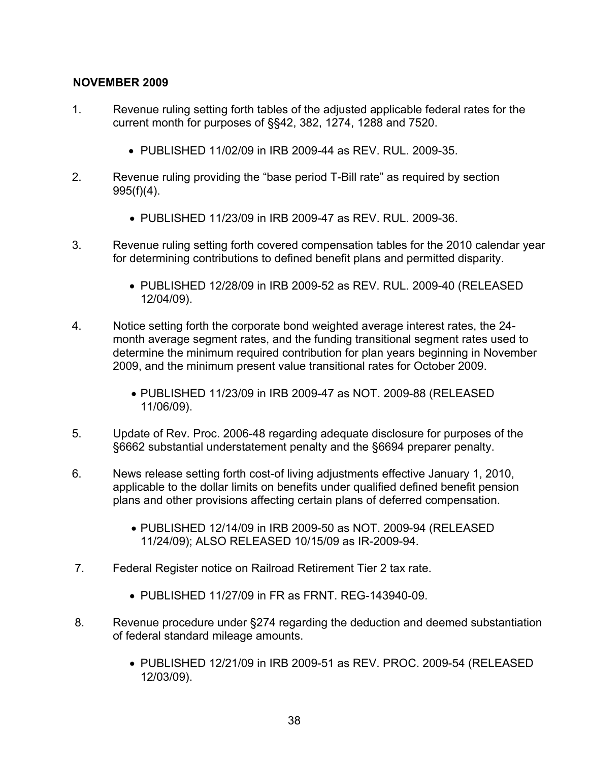## **NOVEMBER 2009**

- 1. Revenue ruling setting forth tables of the adjusted applicable federal rates for the current month for purposes of §§42, 382, 1274, 1288 and 7520.
	- PUBLISHED 11/02/09 in IRB 2009-44 as REV. RUL. 2009-35.
- 2. Revenue ruling providing the "base period T-Bill rate" as required by section 995(f)(4).
	- PUBLISHED 11/23/09 in IRB 2009-47 as REV. RUL. 2009-36.
- 3. Revenue ruling setting forth covered compensation tables for the 2010 calendar year for determining contributions to defined benefit plans and permitted disparity.
	- PUBLISHED 12/28/09 in IRB 2009-52 as REV. RUL. 2009-40 (RELEASED 12/04/09).
- 4. Notice setting forth the corporate bond weighted average interest rates, the 24 month average segment rates, and the funding transitional segment rates used to determine the minimum required contribution for plan years beginning in November 2009, and the minimum present value transitional rates for October 2009.
	- PUBLISHED 11/23/09 in IRB 2009-47 as NOT. 2009-88 (RELEASED 11/06/09).
- 5. Update of Rev. Proc. 2006-48 regarding adequate disclosure for purposes of the §6662 substantial understatement penalty and the §6694 preparer penalty.
- 6. News release setting forth cost-of living adjustments effective January 1, 2010, applicable to the dollar limits on benefits under qualified defined benefit pension plans and other provisions affecting certain plans of deferred compensation.
	- PUBLISHED 12/14/09 in IRB 2009-50 as NOT. 2009-94 (RELEASED 11/24/09); ALSO RELEASED 10/15/09 as IR-2009-94.
- 7. Federal Register notice on Railroad Retirement Tier 2 tax rate.
	- PUBLISHED 11/27/09 in FR as FRNT. REG-143940-09.
- 8. Revenue procedure under §274 regarding the deduction and deemed substantiation of federal standard mileage amounts.
	- PUBLISHED 12/21/09 in IRB 2009-51 as REV. PROC. 2009-54 (RELEASED 12/03/09).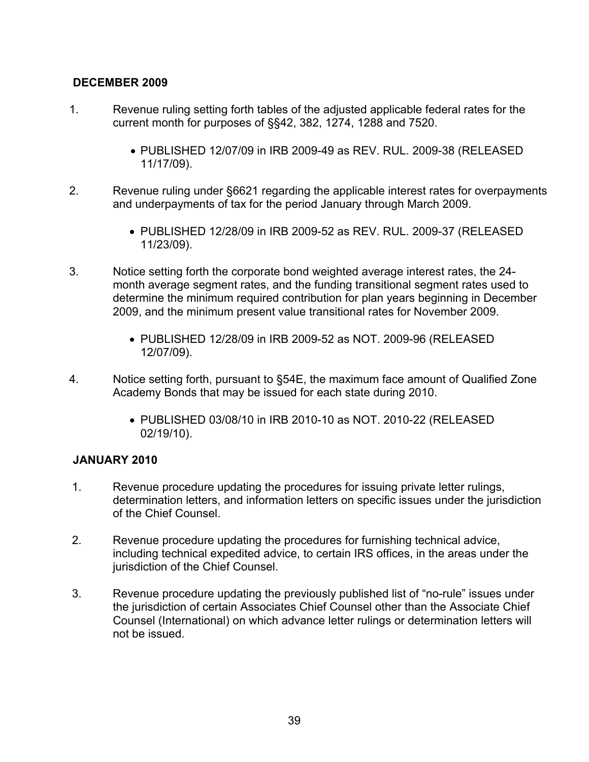# **DECEMBER 2009**

- 1. Revenue ruling setting forth tables of the adjusted applicable federal rates for the current month for purposes of §§42, 382, 1274, 1288 and 7520.
	- PUBLISHED 12/07/09 in IRB 2009-49 as REV. RUL. 2009-38 (RELEASED 11/17/09).
- 2. Revenue ruling under §6621 regarding the applicable interest rates for overpayments and underpayments of tax for the period January through March 2009.
	- PUBLISHED 12/28/09 in IRB 2009-52 as REV. RUL. 2009-37 (RELEASED 11/23/09).
- 3. Notice setting forth the corporate bond weighted average interest rates, the 24 month average segment rates, and the funding transitional segment rates used to determine the minimum required contribution for plan years beginning in December 2009, and the minimum present value transitional rates for November 2009.
	- PUBLISHED 12/28/09 in IRB 2009-52 as NOT. 2009-96 (RELEASED 12/07/09).
- 4. Notice setting forth, pursuant to §54E, the maximum face amount of Qualified Zone Academy Bonds that may be issued for each state during 2010.
	- PUBLISHED 03/08/10 in IRB 2010-10 as NOT. 2010-22 (RELEASED 02/19/10).

#### **JANUARY 2010**

- 1. Revenue procedure updating the procedures for issuing private letter rulings, determination letters, and information letters on specific issues under the jurisdiction of the Chief Counsel.
- 2. Revenue procedure updating the procedures for furnishing technical advice, including technical expedited advice, to certain IRS offices, in the areas under the jurisdiction of the Chief Counsel.
- 3. Revenue procedure updating the previously published list of "no-rule" issues under the jurisdiction of certain Associates Chief Counsel other than the Associate Chief Counsel (International) on which advance letter rulings or determination letters will not be issued.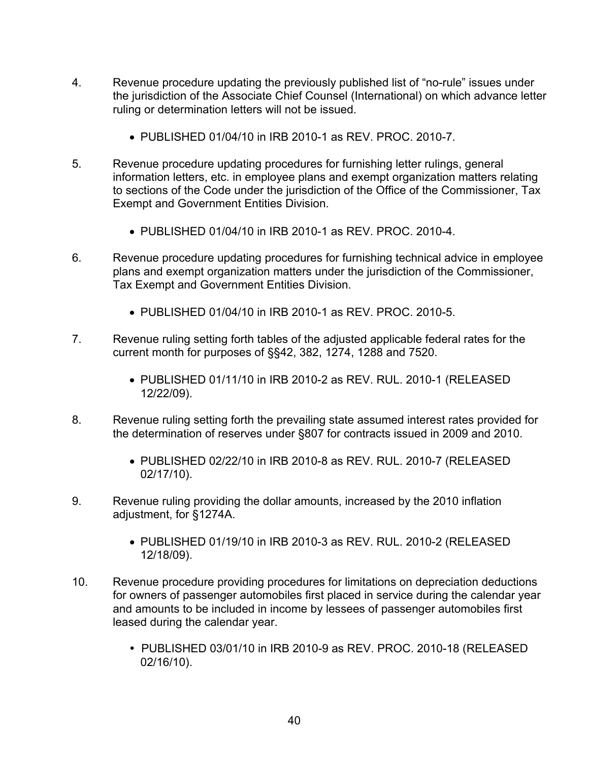- 4. Revenue procedure updating the previously published list of "no-rule" issues under the jurisdiction of the Associate Chief Counsel (International) on which advance letter ruling or determination letters will not be issued.
	- PUBLISHED 01/04/10 in IRB 2010-1 as REV. PROC. 2010-7.
- 5. Revenue procedure updating procedures for furnishing letter rulings, general information letters, etc. in employee plans and exempt organization matters relating to sections of the Code under the jurisdiction of the Office of the Commissioner, Tax Exempt and Government Entities Division.
	- PUBLISHED 01/04/10 in IRB 2010-1 as REV. PROC. 2010-4.
- 6. Revenue procedure updating procedures for furnishing technical advice in employee plans and exempt organization matters under the jurisdiction of the Commissioner, Tax Exempt and Government Entities Division.
	- PUBLISHED 01/04/10 in IRB 2010-1 as REV. PROC. 2010-5.
- 7. Revenue ruling setting forth tables of the adjusted applicable federal rates for the current month for purposes of §§42, 382, 1274, 1288 and 7520.
	- PUBLISHED 01/11/10 in IRB 2010-2 as REV. RUL. 2010-1 (RELEASED 12/22/09).
- 8. Revenue ruling setting forth the prevailing state assumed interest rates provided for the determination of reserves under §807 for contracts issued in 2009 and 2010.
	- PUBLISHED 02/22/10 in IRB 2010-8 as REV. RUL. 2010-7 (RELEASED 02/17/10).
- 9. Revenue ruling providing the dollar amounts, increased by the 2010 inflation adjustment, for §1274A.
	- PUBLISHED 01/19/10 in IRB 2010-3 as REV. RUL. 2010-2 (RELEASED 12/18/09).
- 10. Revenue procedure providing procedures for limitations on depreciation deductions for owners of passenger automobiles first placed in service during the calendar year and amounts to be included in income by lessees of passenger automobiles first leased during the calendar year.
	- PUBLISHED 03/01/10 in IRB 2010-9 as REV. PROC. 2010-18 (RELEASED 02/16/10).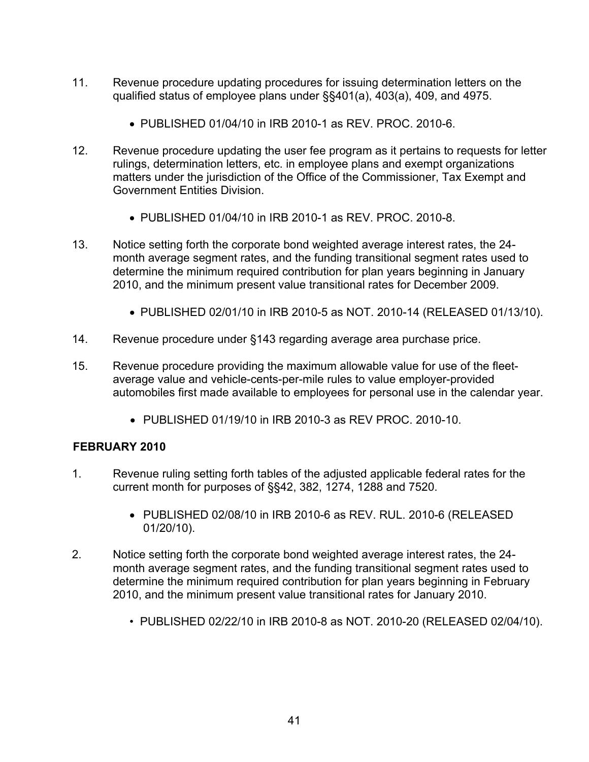- 11. Revenue procedure updating procedures for issuing determination letters on the qualified status of employee plans under §§401(a), 403(a), 409, and 4975.
	- PUBLISHED 01/04/10 in IRB 2010-1 as REV. PROC. 2010-6.
- 12. Revenue procedure updating the user fee program as it pertains to requests for letter rulings, determination letters, etc. in employee plans and exempt organizations matters under the jurisdiction of the Office of the Commissioner, Tax Exempt and Government Entities Division.
	- PUBLISHED 01/04/10 in IRB 2010-1 as REV. PROC. 2010-8.
- 13. Notice setting forth the corporate bond weighted average interest rates, the 24 month average segment rates, and the funding transitional segment rates used to determine the minimum required contribution for plan years beginning in January 2010, and the minimum present value transitional rates for December 2009.
	- PUBLISHED 02/01/10 in IRB 2010-5 as NOT. 2010-14 (RELEASED 01/13/10).
- 14. Revenue procedure under §143 regarding average area purchase price.
- 15. Revenue procedure providing the maximum allowable value for use of the fleetaverage value and vehicle-cents-per-mile rules to value employer-provided automobiles first made available to employees for personal use in the calendar year.
	- PUBLISHED 01/19/10 in IRB 2010-3 as REV PROC. 2010-10.

# **FEBRUARY 2010**

- 1. Revenue ruling setting forth tables of the adjusted applicable federal rates for the current month for purposes of §§42, 382, 1274, 1288 and 7520.
	- PUBLISHED 02/08/10 in IRB 2010-6 as REV. RUL. 2010-6 (RELEASED 01/20/10).
- 2. Notice setting forth the corporate bond weighted average interest rates, the 24 month average segment rates, and the funding transitional segment rates used to determine the minimum required contribution for plan years beginning in February 2010, and the minimum present value transitional rates for January 2010.
	- PUBLISHED 02/22/10 in IRB 2010-8 as NOT. 2010-20 (RELEASED 02/04/10).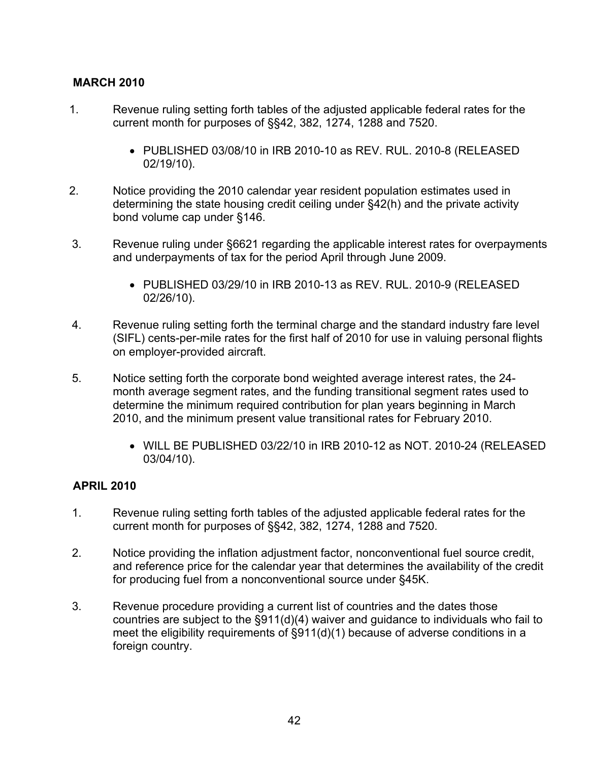# **MARCH 2010**

- 1. Revenue ruling setting forth tables of the adjusted applicable federal rates for the current month for purposes of §§42, 382, 1274, 1288 and 7520.
	- PUBLISHED 03/08/10 in IRB 2010-10 as REV. RUL. 2010-8 (RELEASED 02/19/10).
- 2. Notice providing the 2010 calendar year resident population estimates used in determining the state housing credit ceiling under §42(h) and the private activity bond volume cap under §146.
- 3. Revenue ruling under §6621 regarding the applicable interest rates for overpayments and underpayments of tax for the period April through June 2009.
	- PUBLISHED 03/29/10 in IRB 2010-13 as REV. RUL. 2010-9 (RELEASED 02/26/10).
- 4. Revenue ruling setting forth the terminal charge and the standard industry fare level (SIFL) cents-per-mile rates for the first half of 2010 for use in valuing personal flights on employer-provided aircraft.
- 5. Notice setting forth the corporate bond weighted average interest rates, the 24 month average segment rates, and the funding transitional segment rates used to determine the minimum required contribution for plan years beginning in March 2010, and the minimum present value transitional rates for February 2010.
	- WILL BE PUBLISHED 03/22/10 in IRB 2010-12 as NOT. 2010-24 (RELEASED 03/04/10).

#### **APRIL 2010**

- 1. Revenue ruling setting forth tables of the adjusted applicable federal rates for the current month for purposes of §§42, 382, 1274, 1288 and 7520.
- 2. Notice providing the inflation adjustment factor, nonconventional fuel source credit, and reference price for the calendar year that determines the availability of the credit for producing fuel from a nonconventional source under §45K.
- 3. Revenue procedure providing a current list of countries and the dates those countries are subject to the §911(d)(4) waiver and guidance to individuals who fail to meet the eligibility requirements of §911(d)(1) because of adverse conditions in a foreign country.